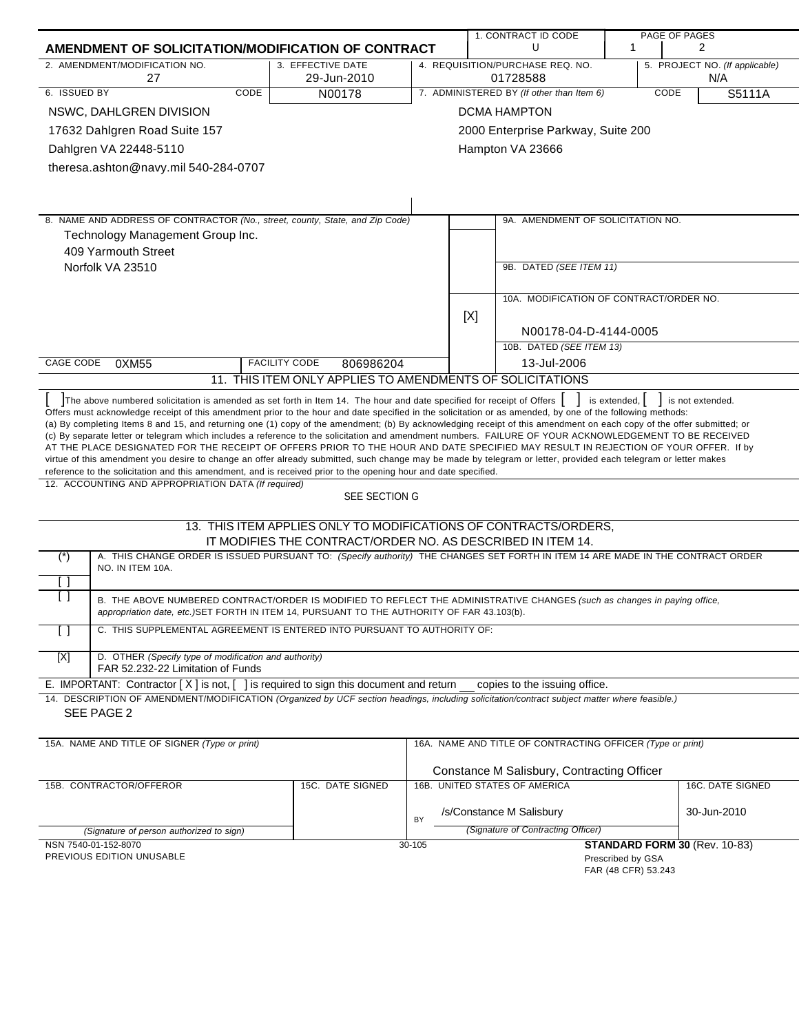|                                                                                                                                                                                                                                                                                                                                                                                                                                                                                                                                                                                                                                                                                                                                                                                                                                                                                                                             |                                                                                                                                 |        |     | 1. CONTRACT ID CODE                                        |                                          | PAGE OF PAGES                         |
|-----------------------------------------------------------------------------------------------------------------------------------------------------------------------------------------------------------------------------------------------------------------------------------------------------------------------------------------------------------------------------------------------------------------------------------------------------------------------------------------------------------------------------------------------------------------------------------------------------------------------------------------------------------------------------------------------------------------------------------------------------------------------------------------------------------------------------------------------------------------------------------------------------------------------------|---------------------------------------------------------------------------------------------------------------------------------|--------|-----|------------------------------------------------------------|------------------------------------------|---------------------------------------|
| AMENDMENT OF SOLICITATION/MODIFICATION OF CONTRACT                                                                                                                                                                                                                                                                                                                                                                                                                                                                                                                                                                                                                                                                                                                                                                                                                                                                          |                                                                                                                                 |        |     | U                                                          | $\mathbf{1}$                             | 2                                     |
| 2. AMENDMENT/MODIFICATION NO.<br>27                                                                                                                                                                                                                                                                                                                                                                                                                                                                                                                                                                                                                                                                                                                                                                                                                                                                                         | 3. EFFECTIVE DATE<br>29-Jun-2010                                                                                                |        |     | 4. REQUISITION/PURCHASE REQ. NO.<br>01728588               |                                          | 5. PROJECT NO. (If applicable)<br>N/A |
| 6. ISSUED BY<br><b>CODE</b>                                                                                                                                                                                                                                                                                                                                                                                                                                                                                                                                                                                                                                                                                                                                                                                                                                                                                                 | N00178                                                                                                                          |        |     | 7. ADMINISTERED BY (If other than Item 6)                  |                                          | CODE<br>S5111A                        |
| NSWC, DAHLGREN DIVISION                                                                                                                                                                                                                                                                                                                                                                                                                                                                                                                                                                                                                                                                                                                                                                                                                                                                                                     |                                                                                                                                 |        |     | <b>DCMA HAMPTON</b>                                        |                                          |                                       |
| 17632 Dahlgren Road Suite 157                                                                                                                                                                                                                                                                                                                                                                                                                                                                                                                                                                                                                                                                                                                                                                                                                                                                                               |                                                                                                                                 |        |     | 2000 Enterprise Parkway, Suite 200                         |                                          |                                       |
| Dahlgren VA 22448-5110                                                                                                                                                                                                                                                                                                                                                                                                                                                                                                                                                                                                                                                                                                                                                                                                                                                                                                      |                                                                                                                                 |        |     | Hampton VA 23666                                           |                                          |                                       |
| theresa.ashton@navy.mil 540-284-0707                                                                                                                                                                                                                                                                                                                                                                                                                                                                                                                                                                                                                                                                                                                                                                                                                                                                                        |                                                                                                                                 |        |     |                                                            |                                          |                                       |
|                                                                                                                                                                                                                                                                                                                                                                                                                                                                                                                                                                                                                                                                                                                                                                                                                                                                                                                             |                                                                                                                                 |        |     |                                                            |                                          |                                       |
|                                                                                                                                                                                                                                                                                                                                                                                                                                                                                                                                                                                                                                                                                                                                                                                                                                                                                                                             |                                                                                                                                 |        |     |                                                            |                                          |                                       |
| 8. NAME AND ADDRESS OF CONTRACTOR (No., street, county, State, and Zip Code)                                                                                                                                                                                                                                                                                                                                                                                                                                                                                                                                                                                                                                                                                                                                                                                                                                                |                                                                                                                                 |        |     | 9A. AMENDMENT OF SOLICITATION NO.                          |                                          |                                       |
| Technology Management Group Inc.                                                                                                                                                                                                                                                                                                                                                                                                                                                                                                                                                                                                                                                                                                                                                                                                                                                                                            |                                                                                                                                 |        |     |                                                            |                                          |                                       |
| 409 Yarmouth Street                                                                                                                                                                                                                                                                                                                                                                                                                                                                                                                                                                                                                                                                                                                                                                                                                                                                                                         |                                                                                                                                 |        |     |                                                            |                                          |                                       |
| Norfolk VA 23510                                                                                                                                                                                                                                                                                                                                                                                                                                                                                                                                                                                                                                                                                                                                                                                                                                                                                                            |                                                                                                                                 |        |     | 9B. DATED (SEE ITEM 11)                                    |                                          |                                       |
|                                                                                                                                                                                                                                                                                                                                                                                                                                                                                                                                                                                                                                                                                                                                                                                                                                                                                                                             |                                                                                                                                 |        |     | 10A. MODIFICATION OF CONTRACT/ORDER NO.                    |                                          |                                       |
|                                                                                                                                                                                                                                                                                                                                                                                                                                                                                                                                                                                                                                                                                                                                                                                                                                                                                                                             |                                                                                                                                 |        |     |                                                            |                                          |                                       |
|                                                                                                                                                                                                                                                                                                                                                                                                                                                                                                                                                                                                                                                                                                                                                                                                                                                                                                                             |                                                                                                                                 |        | [X] | N00178-04-D-4144-0005                                      |                                          |                                       |
|                                                                                                                                                                                                                                                                                                                                                                                                                                                                                                                                                                                                                                                                                                                                                                                                                                                                                                                             |                                                                                                                                 |        |     | 10B. DATED (SEE ITEM 13)                                   |                                          |                                       |
| <b>CAGE CODE</b><br>0XM55                                                                                                                                                                                                                                                                                                                                                                                                                                                                                                                                                                                                                                                                                                                                                                                                                                                                                                   | <b>FACILITY CODE</b><br>806986204                                                                                               |        |     | 13-Jul-2006                                                |                                          |                                       |
|                                                                                                                                                                                                                                                                                                                                                                                                                                                                                                                                                                                                                                                                                                                                                                                                                                                                                                                             | 11. THIS ITEM ONLY APPLIES TO AMENDMENTS OF SOLICITATIONS                                                                       |        |     |                                                            |                                          |                                       |
| The above numbered solicitation is amended as set forth in Item 14. The hour and date specified for receipt of Offers                                                                                                                                                                                                                                                                                                                                                                                                                                                                                                                                                                                                                                                                                                                                                                                                       |                                                                                                                                 |        |     |                                                            | is extended,                             | is not extended.                      |
| Offers must acknowledge receipt of this amendment prior to the hour and date specified in the solicitation or as amended, by one of the following methods:<br>(a) By completing Items 8 and 15, and returning one (1) copy of the amendment; (b) By acknowledging receipt of this amendment on each copy of the offer submitted; or<br>(c) By separate letter or telegram which includes a reference to the solicitation and amendment numbers. FAILURE OF YOUR ACKNOWLEDGEMENT TO BE RECEIVED<br>AT THE PLACE DESIGNATED FOR THE RECEIPT OF OFFERS PRIOR TO THE HOUR AND DATE SPECIFIED MAY RESULT IN REJECTION OF YOUR OFFER. If by<br>virtue of this amendment you desire to change an offer already submitted, such change may be made by telegram or letter, provided each telegram or letter makes<br>reference to the solicitation and this amendment, and is received prior to the opening hour and date specified. |                                                                                                                                 |        |     |                                                            |                                          |                                       |
| 12. ACCOUNTING AND APPROPRIATION DATA (If required)                                                                                                                                                                                                                                                                                                                                                                                                                                                                                                                                                                                                                                                                                                                                                                                                                                                                         |                                                                                                                                 |        |     |                                                            |                                          |                                       |
|                                                                                                                                                                                                                                                                                                                                                                                                                                                                                                                                                                                                                                                                                                                                                                                                                                                                                                                             | SEE SECTION G                                                                                                                   |        |     |                                                            |                                          |                                       |
|                                                                                                                                                                                                                                                                                                                                                                                                                                                                                                                                                                                                                                                                                                                                                                                                                                                                                                                             | 13. THIS ITEM APPLIES ONLY TO MODIFICATIONS OF CONTRACTS/ORDERS,<br>IT MODIFIES THE CONTRACT/ORDER NO. AS DESCRIBED IN ITEM 14. |        |     |                                                            |                                          |                                       |
| A. THIS CHANGE ORDER IS ISSUED PURSUANT TO: (Specify authority) THE CHANGES SET FORTH IN ITEM 14 ARE MADE IN THE CONTRACT ORDER<br>$(\ast)$<br>NO. IN ITEM 10A.                                                                                                                                                                                                                                                                                                                                                                                                                                                                                                                                                                                                                                                                                                                                                             |                                                                                                                                 |        |     |                                                            |                                          |                                       |
| ιı                                                                                                                                                                                                                                                                                                                                                                                                                                                                                                                                                                                                                                                                                                                                                                                                                                                                                                                          |                                                                                                                                 |        |     |                                                            |                                          |                                       |
| $\Box$<br>B. THE ABOVE NUMBERED CONTRACT/ORDER IS MODIFIED TO REFLECT THE ADMINISTRATIVE CHANGES (such as changes in paying office,<br>appropriation date, etc.)SET FORTH IN ITEM 14, PURSUANT TO THE AUTHORITY OF FAR 43.103(b).                                                                                                                                                                                                                                                                                                                                                                                                                                                                                                                                                                                                                                                                                           |                                                                                                                                 |        |     |                                                            |                                          |                                       |
| C. THIS SUPPLEMENTAL AGREEMENT IS ENTERED INTO PURSUANT TO AUTHORITY OF:<br>U                                                                                                                                                                                                                                                                                                                                                                                                                                                                                                                                                                                                                                                                                                                                                                                                                                               |                                                                                                                                 |        |     |                                                            |                                          |                                       |
| [X]<br>D. OTHER (Specify type of modification and authority)<br>FAR 52.232-22 Limitation of Funds                                                                                                                                                                                                                                                                                                                                                                                                                                                                                                                                                                                                                                                                                                                                                                                                                           |                                                                                                                                 |        |     |                                                            |                                          |                                       |
| E. IMPORTANT: Contractor $[X]$ is not, $[ \ ]$ is required to sign this document and return                                                                                                                                                                                                                                                                                                                                                                                                                                                                                                                                                                                                                                                                                                                                                                                                                                 |                                                                                                                                 |        |     | copies to the issuing office.                              |                                          |                                       |
| 14. DESCRIPTION OF AMENDMENT/MODIFICATION (Organized by UCF section headings, including solicitation/contract subject matter where feasible.)<br>SEE PAGE 2                                                                                                                                                                                                                                                                                                                                                                                                                                                                                                                                                                                                                                                                                                                                                                 |                                                                                                                                 |        |     |                                                            |                                          |                                       |
| 15A. NAME AND TITLE OF SIGNER (Type or print)                                                                                                                                                                                                                                                                                                                                                                                                                                                                                                                                                                                                                                                                                                                                                                                                                                                                               |                                                                                                                                 |        |     | 16A. NAME AND TITLE OF CONTRACTING OFFICER (Type or print) |                                          |                                       |
|                                                                                                                                                                                                                                                                                                                                                                                                                                                                                                                                                                                                                                                                                                                                                                                                                                                                                                                             |                                                                                                                                 |        |     | Constance M Salisbury, Contracting Officer                 |                                          |                                       |
| 15B. CONTRACTOR/OFFEROR                                                                                                                                                                                                                                                                                                                                                                                                                                                                                                                                                                                                                                                                                                                                                                                                                                                                                                     | 15C. DATE SIGNED                                                                                                                |        |     | 16B. UNITED STATES OF AMERICA                              |                                          | 16C. DATE SIGNED                      |
|                                                                                                                                                                                                                                                                                                                                                                                                                                                                                                                                                                                                                                                                                                                                                                                                                                                                                                                             |                                                                                                                                 | BY     |     | /s/Constance M Salisbury                                   |                                          | 30-Jun-2010                           |
| (Signature of person authorized to sign)                                                                                                                                                                                                                                                                                                                                                                                                                                                                                                                                                                                                                                                                                                                                                                                                                                                                                    |                                                                                                                                 |        |     | (Signature of Contracting Officer)                         |                                          |                                       |
| NSN 7540-01-152-8070<br>PREVIOUS EDITION UNUSABLE                                                                                                                                                                                                                                                                                                                                                                                                                                                                                                                                                                                                                                                                                                                                                                                                                                                                           |                                                                                                                                 | 30-105 |     |                                                            | Prescribed by GSA<br>FAR (48 CFR) 53.243 | STANDARD FORM 30 (Rev. 10-83)         |
|                                                                                                                                                                                                                                                                                                                                                                                                                                                                                                                                                                                                                                                                                                                                                                                                                                                                                                                             |                                                                                                                                 |        |     |                                                            |                                          |                                       |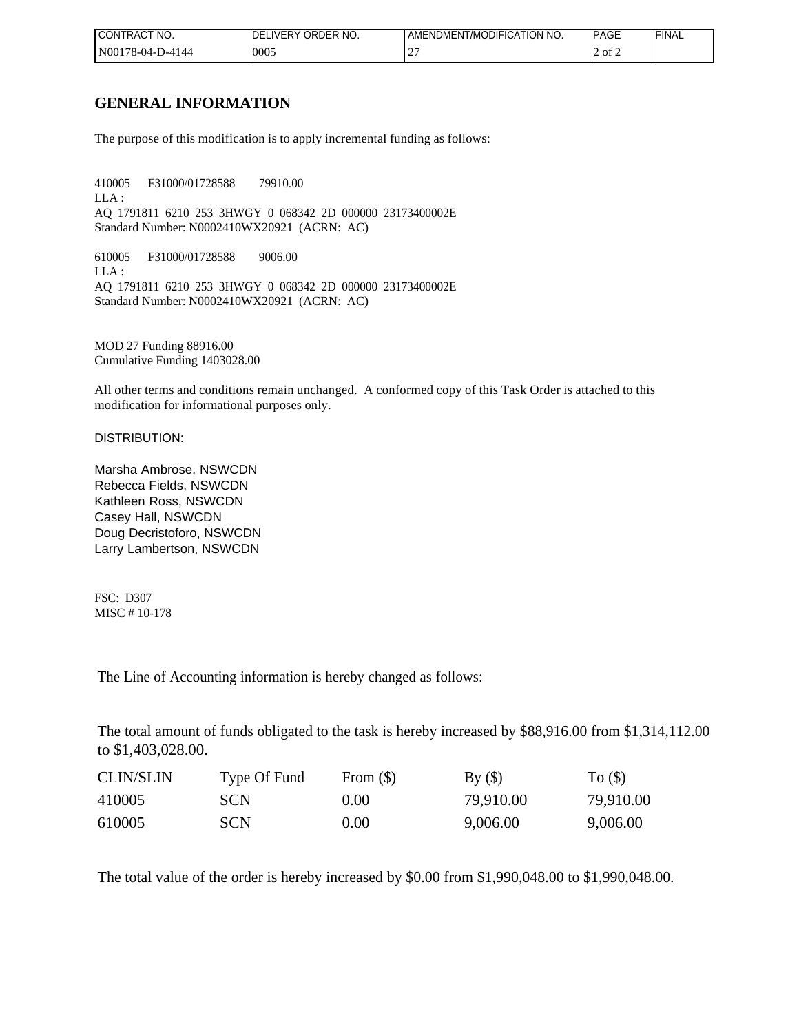| I CONTRACT NO.            | <b>IVERY</b><br>ORDER NO. | T/MODIFICATION NO.<br>AMENDMENT. | <b>PAGE</b>        | <b>FINAL</b> |
|---------------------------|---------------------------|----------------------------------|--------------------|--------------|
| N00<br>78-04-<br>-1)-4144 | 0005                      | $\sim$<br>∸                      | $\prime$ of $\sim$ |              |

## **GENERAL INFORMATION**

The purpose of this modification is to apply incremental funding as follows:

410005 F31000/01728588 79910.00 LLA : AQ 1791811 6210 253 3HWGY 0 068342 2D 000000 23173400002E Standard Number: N0002410WX20921 (ACRN: AC)

610005 F31000/01728588 9006.00 LLA : AQ 1791811 6210 253 3HWGY 0 068342 2D 000000 23173400002E Standard Number: N0002410WX20921 (ACRN: AC)

MOD 27 Funding 88916.00 Cumulative Funding 1403028.00

All other terms and conditions remain unchanged. A conformed copy of this Task Order is attached to this modification for informational purposes only.

### DISTRIBUTION:

Marsha Ambrose, NSWCDN Rebecca Fields, NSWCDN Kathleen Ross, NSWCDN Casey Hall, NSWCDN Doug Decristoforo, NSWCDN Larry Lambertson, NSWCDN

FSC: D307 MISC # 10-178

The Line of Accounting information is hereby changed as follows:

The total amount of funds obligated to the task is hereby increased by \$88,916.00 from \$1,314,112.00 to \$1,403,028.00.

| <b>CLIN/SLIN</b> | Type Of Fund | From $(\$)$    | By()      | $To (\$)$ |
|------------------|--------------|----------------|-----------|-----------|
| 410005           | SCN.         | 0.00           | 79,910.00 | 79,910.00 |
| 610005           | <b>SCN</b>   | $0.00^{\circ}$ | 9,006.00  | 9,006.00  |

The total value of the order is hereby increased by \$0.00 from \$1,990,048.00 to \$1,990,048.00.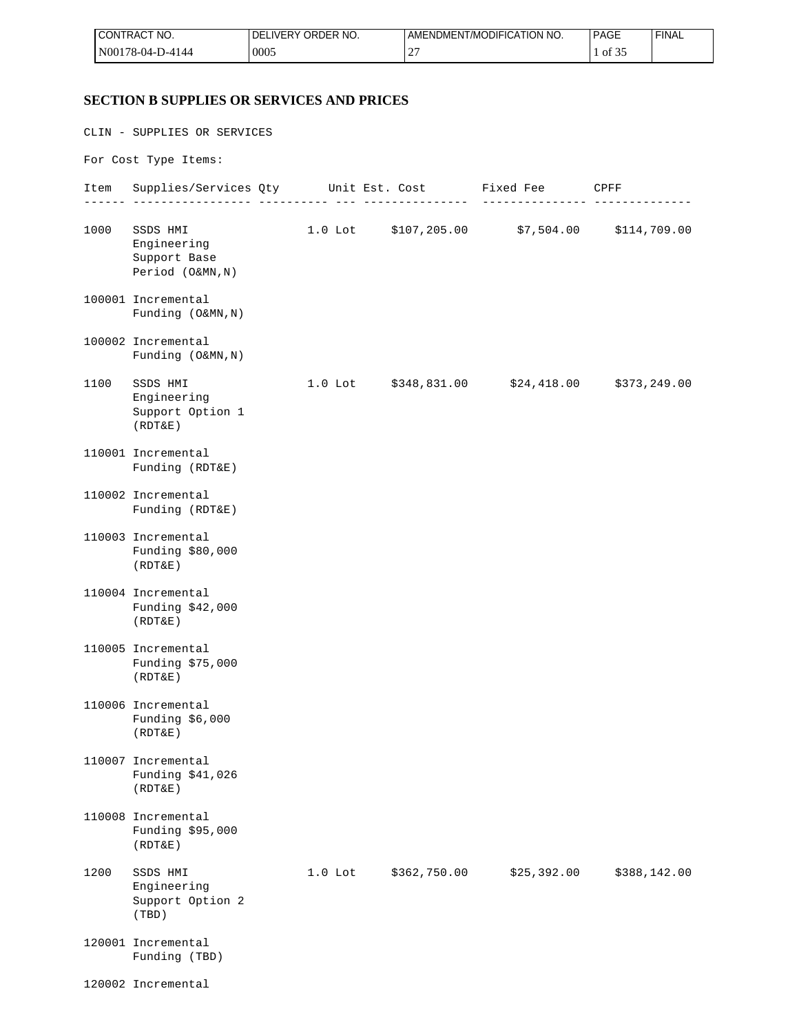| <b>I CONTRACT NO.</b> | ORDER NO.<br>_IVERY<br>DELI | AMENDMENT/MODIFICATION NO. | <b>PAGE</b> | <b>FINAL</b> |
|-----------------------|-----------------------------|----------------------------|-------------|--------------|
| $N00178-04-D-4144$    | 0005                        | $\sim$<br>-                | of 35       |              |

## **SECTION B SUPPLIES OR SERVICES AND PRICES**

|      | CLIN - SUPPLIES OR SERVICES                                 |           |              |                                                  |              |
|------|-------------------------------------------------------------|-----------|--------------|--------------------------------------------------|--------------|
|      | For Cost Type Items:                                        |           |              |                                                  |              |
|      | Item Supplies/Services Qty Unit Est. Cost Fixed Fee CPFF    |           |              |                                                  |              |
| 1000 | SSDS HMI<br>Engineering<br>Support Base<br>Period (O&MN, N) |           |              | 1.0 Lot $$107,205.00$ $$7,504.00$ $$114,709.00$  |              |
|      | 100001 Incremental<br>Funding (O&MN, N)                     |           |              |                                                  |              |
|      | 100002 Incremental<br>Funding (O&MN, N)                     |           |              |                                                  |              |
| 1100 | SSDS HMI<br>Engineering<br>Support Option 1<br>(RDT&E)      |           |              | 1.0 Lot $$348,831.00$ $$24,418.00$ $$373,249.00$ |              |
|      | 110001 Incremental<br>Funding (RDT&E)                       |           |              |                                                  |              |
|      | 110002 Incremental<br>Funding (RDT&E)                       |           |              |                                                  |              |
|      | 110003 Incremental<br>Funding \$80,000<br>(RDT&E)           |           |              |                                                  |              |
|      | 110004 Incremental<br>Funding \$42,000<br>(RDT&E)           |           |              |                                                  |              |
|      | 110005 Incremental<br>Funding \$75,000<br>(RDT&E)           |           |              |                                                  |              |
|      | 110006 Incremental<br>Funding \$6,000<br>(RDT&E)            |           |              |                                                  |              |
|      | 110007 Incremental<br>Funding \$41,026<br>(RDT&E)           |           |              |                                                  |              |
|      | 110008 Incremental<br>Funding \$95,000<br>(RDT&E)           |           |              |                                                  |              |
| 1200 | SSDS HMI<br>Engineering<br>Support Option 2<br>(TBD)        | $1.0$ Lot | \$362,750.00 | \$25,392.00                                      | \$388,142.00 |
|      | 120001 Incremental<br>Funding (TBD)                         |           |              |                                                  |              |
|      | 120002 Incremental                                          |           |              |                                                  |              |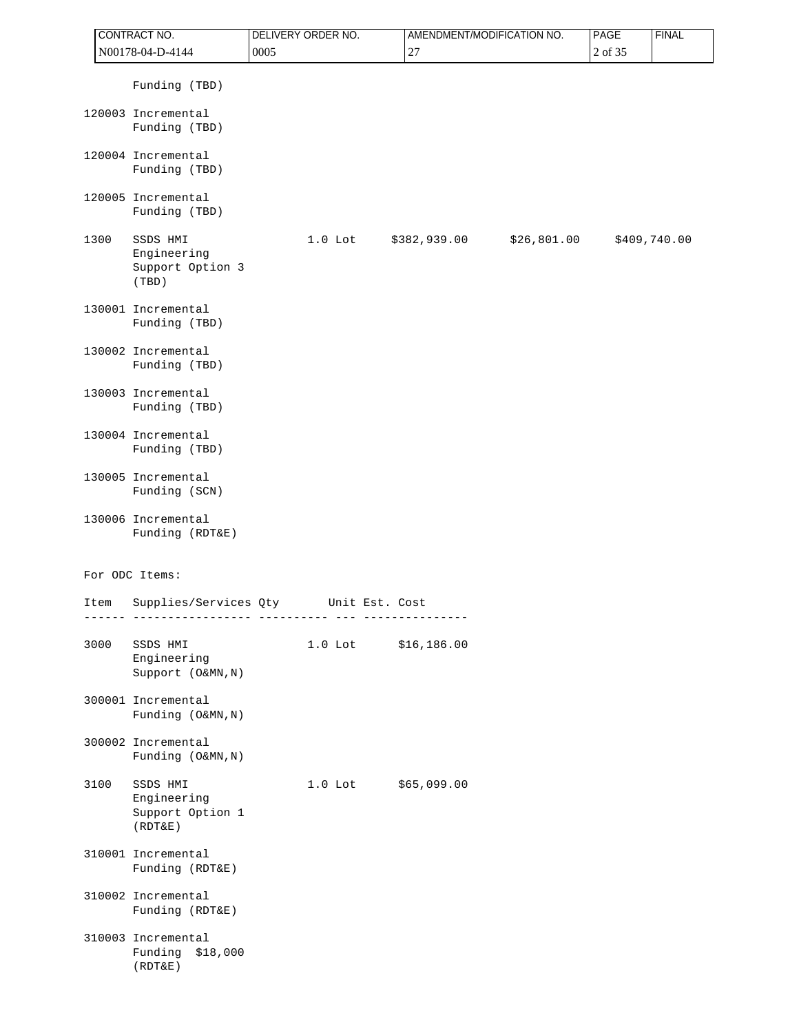| CONTRACT NO. |      |                                                        | <b>DELIVERY ORDER NO.</b> | AMENDMENT/MODIFICATION NO.  | <b>PAGE</b> | <b>FINAL</b> |
|--------------|------|--------------------------------------------------------|---------------------------|-----------------------------|-------------|--------------|
|              |      | N00178-04-D-4144                                       | 0005                      | 27                          | 2 of 35     |              |
|              |      | Funding (TBD)                                          |                           |                             |             |              |
|              |      | 120003 Incremental<br>Funding (TBD)                    |                           |                             |             |              |
|              |      | 120004 Incremental<br>Funding (TBD)                    |                           |                             |             |              |
|              |      | 120005 Incremental<br>Funding (TBD)                    |                           |                             |             |              |
|              | 1300 | SSDS HMI<br>Engineering<br>Support Option 3<br>(TBD)   | $1.0$ Lot                 | \$26,801.00<br>\$382,939.00 |             | \$409,740.00 |
|              |      | 130001 Incremental<br>Funding (TBD)                    |                           |                             |             |              |
|              |      | 130002 Incremental<br>Funding (TBD)                    |                           |                             |             |              |
|              |      | 130003 Incremental<br>Funding (TBD)                    |                           |                             |             |              |
|              |      | 130004 Incremental<br>Funding (TBD)                    |                           |                             |             |              |
|              |      | 130005 Incremental<br>Funding (SCN)                    |                           |                             |             |              |
|              |      | 130006 Incremental<br>Funding (RDT&E)                  |                           |                             |             |              |
|              |      | For ODC Items:                                         |                           |                             |             |              |
|              | Item | Supplies/Services Qty                                  | Unit Est. Cost            |                             |             |              |
|              | 3000 | SSDS HMI<br>Engineering<br>Support (O&MN, N)           | $1.0$ Lot                 | \$16, 186.00                |             |              |
|              |      | 300001 Incremental<br>Funding (O&MN, N)                |                           |                             |             |              |
|              |      | 300002 Incremental<br>Funding (O&MN, N)                |                           |                             |             |              |
|              | 3100 | SSDS HMI<br>Engineering<br>Support Option 1<br>(RDT&E) | $1.0$ Lot                 | \$65,099.00                 |             |              |
|              |      | 310001 Incremental<br>Funding (RDT&E)                  |                           |                             |             |              |
|              |      | 310002 Incremental<br>Funding (RDT&E)                  |                           |                             |             |              |
|              |      | 310003 Incremental<br>Funding \$18,000<br>(RDT&E)      |                           |                             |             |              |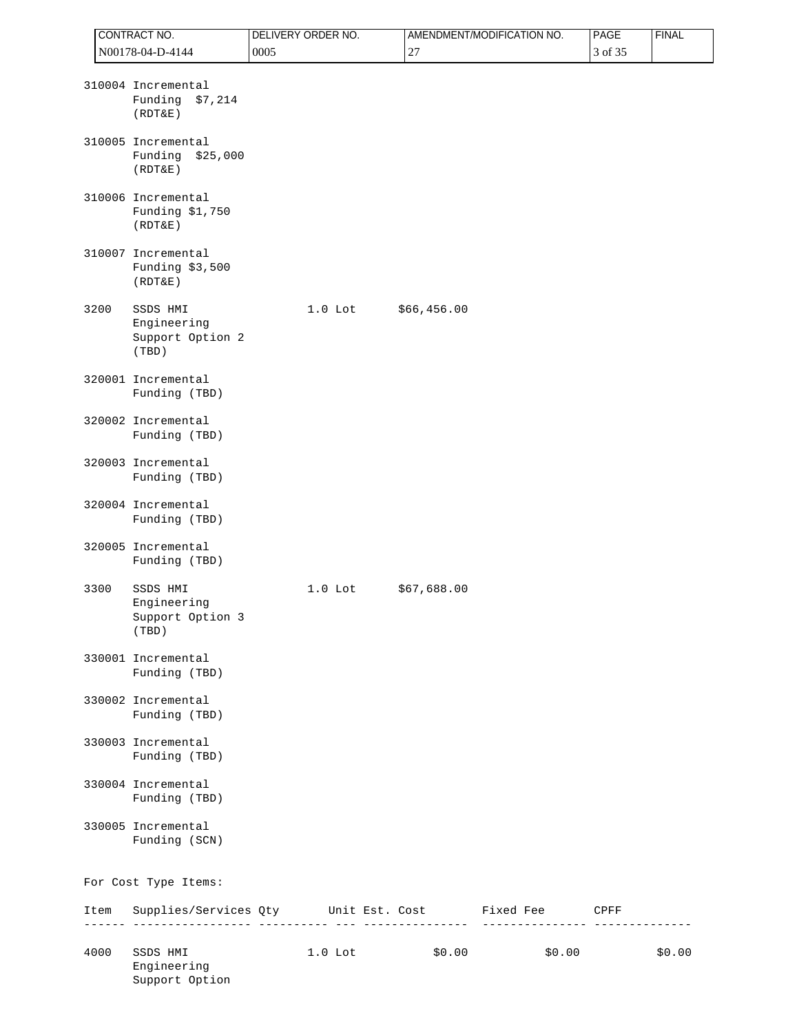|      | CONTRACT NO.                                                                                     | DELIVERY ORDER NO. |           |             | AMENDMENT/MODIFICATION NO. | PAGE    | <b>FINAL</b> |
|------|--------------------------------------------------------------------------------------------------|--------------------|-----------|-------------|----------------------------|---------|--------------|
|      | N00178-04-D-4144                                                                                 | 0005               |           | 27          |                            | 3 of 35 |              |
|      | 310004 Incremental<br>Funding \$7,214<br>(RDT&E)                                                 |                    |           |             |                            |         |              |
|      | 310005 Incremental<br>Funding \$25,000<br>(RDT&E)                                                |                    |           |             |                            |         |              |
|      | 310006 Incremental<br>Funding \$1,750<br>(RDT&E)                                                 |                    |           |             |                            |         |              |
|      | 310007 Incremental<br>Funding \$3,500<br>(RDT&E)                                                 |                    |           |             |                            |         |              |
| 3200 | SSDS HMI<br>Engineering<br>Support Option 2<br>(TBD)                                             |                    | $1.0$ Lot | \$66,456.00 |                            |         |              |
|      | 320001 Incremental<br>Funding (TBD)                                                              |                    |           |             |                            |         |              |
|      | 320002 Incremental<br>Funding (TBD)                                                              |                    |           |             |                            |         |              |
|      | 320003 Incremental<br>Funding (TBD)                                                              |                    |           |             |                            |         |              |
|      | 320004 Incremental<br>Funding (TBD)                                                              |                    |           |             |                            |         |              |
|      | 320005 Incremental<br>Funding (TBD)                                                              |                    |           |             |                            |         |              |
| 3300 | SSDS HMI<br>Engineering<br>Support Option 3<br>(TBD)                                             |                    | $1.0$ Lot | \$67,688.00 |                            |         |              |
|      | 330001 Incremental<br>Funding (TBD)                                                              |                    |           |             |                            |         |              |
|      | 330002 Incremental<br>Funding (TBD)                                                              |                    |           |             |                            |         |              |
|      | 330003 Incremental<br>Funding (TBD)                                                              |                    |           |             |                            |         |              |
|      | 330004 Incremental<br>Funding (TBD)                                                              |                    |           |             |                            |         |              |
|      | 330005 Incremental<br>Funding (SCN)                                                              |                    |           |             |                            |         |              |
|      | For Cost Type Items:                                                                             |                    |           |             |                            |         |              |
|      | Item Supplies/Services Qty Unit Est. Cost Fixed Fee CPFF<br>. _ _ _ <b>_ _ _ _ _ _ _ _ _ _</b> _ |                    |           |             | _________________          |         |              |
| 4000 | SSDS HMI<br>Engineering<br>Support Option                                                        |                    | $1.0$ Lot | \$0.00      | \$0.00                     |         | \$0.00       |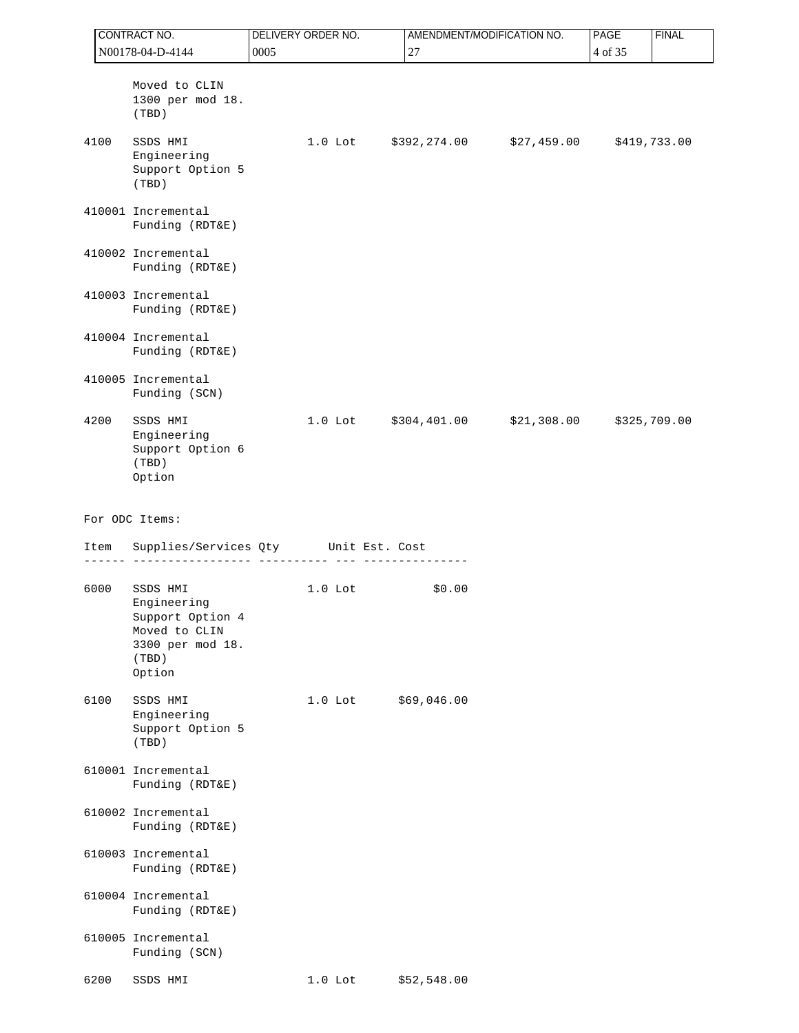| CONTRACT NO. |  |                                                                                                     | <b>DELIVERY ORDER NO.</b> |  |                      | AMENDMENT/MODIFICATION NO.                       | <b>PAGE</b><br><b>FINAL</b> |              |  |
|--------------|--|-----------------------------------------------------------------------------------------------------|---------------------------|--|----------------------|--------------------------------------------------|-----------------------------|--------------|--|
|              |  | N00178-04-D-4144                                                                                    | 0005<br>27                |  |                      |                                                  | 4 of 35                     |              |  |
|              |  | Moved to CLIN<br>1300 per mod 18.<br>(TBD)                                                          |                           |  |                      |                                                  |                             |              |  |
| 4100         |  | SSDS HMI<br>Engineering<br>Support Option 5<br>(TBD)                                                |                           |  |                      | 1.0 Lot $$392,274.00$ $$27,459.00$ $$419,733.00$ |                             |              |  |
|              |  | 410001 Incremental<br>Funding (RDT&E)                                                               |                           |  |                      |                                                  |                             |              |  |
|              |  | 410002 Incremental<br>Funding (RDT&E)                                                               |                           |  |                      |                                                  |                             |              |  |
|              |  | 410003 Incremental<br>Funding (RDT&E)                                                               |                           |  |                      |                                                  |                             |              |  |
|              |  | 410004 Incremental<br>Funding (RDT&E)                                                               |                           |  |                      |                                                  |                             |              |  |
|              |  | 410005 Incremental<br>Funding (SCN)                                                                 |                           |  |                      |                                                  |                             |              |  |
| 4200         |  | SSDS HMI<br>Engineering<br>Support Option 6<br>(TBD)<br>Option                                      |                           |  | 1.0 Lot \$304,401.00 | \$21,308.00                                      |                             | \$325,709.00 |  |
|              |  | For ODC Items:                                                                                      |                           |  |                      |                                                  |                             |              |  |
| Item         |  | Supplies/Services Qty Unit Est. Cost                                                                |                           |  |                      |                                                  |                             |              |  |
| 6000         |  | SSDS HMI<br>Engineering<br>Support Option 4<br>Moved to CLIN<br>3300 per mod 18.<br>(TBD)<br>Option | $1.0$ Lot                 |  | \$0.00               |                                                  |                             |              |  |
| 6100         |  | SSDS HMI<br>Engineering<br>Support Option 5<br>(TBD)                                                | $1.0$ Lot                 |  | \$69,046.00          |                                                  |                             |              |  |
|              |  | 610001 Incremental<br>Funding (RDT&E)                                                               |                           |  |                      |                                                  |                             |              |  |
|              |  | 610002 Incremental<br>Funding (RDT&E)                                                               |                           |  |                      |                                                  |                             |              |  |
|              |  | 610003 Incremental<br>Funding (RDT&E)                                                               |                           |  |                      |                                                  |                             |              |  |
|              |  | 610004 Incremental<br>Funding (RDT&E)                                                               |                           |  |                      |                                                  |                             |              |  |
|              |  | 610005 Incremental<br>Funding (SCN)                                                                 |                           |  |                      |                                                  |                             |              |  |
| 6200         |  | SSDS HMI                                                                                            | $1.0$ Lot                 |  | \$52,548.00          |                                                  |                             |              |  |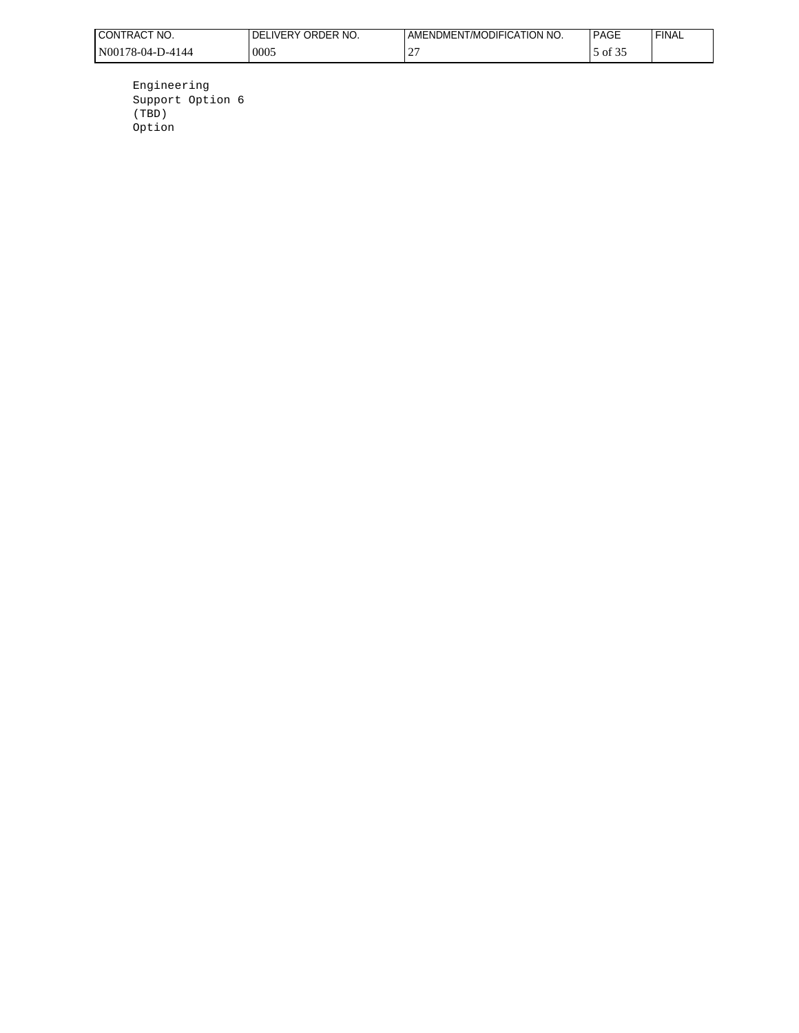| CT NO.<br>'CONTRAC.      | ORDER NO.<br>FRY. | MENDMENT/MODIFICATION NO. | <b>PAGL</b> | <b>FINAL</b> |
|--------------------------|-------------------|---------------------------|-------------|--------------|
| 'N00178-<br>Ω4<br>7-4144 | 0005              | -                         | OI 5.       |              |

 Engineering Support Option 6 (TBD) Option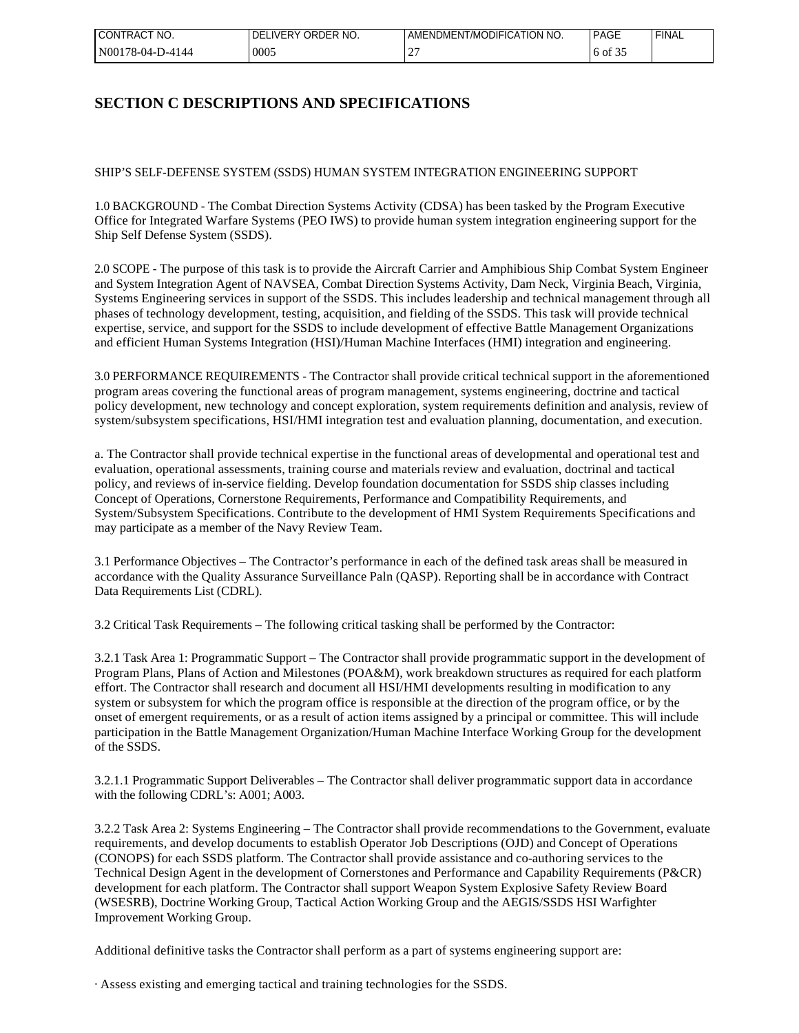| I CONTRACT<br>NO. | ORDER NO.<br>IVERY.<br>DF | DMENT/MODIFICATION NO.<br>AMENL` | <b>PAGE</b> | <b>FINAL</b> |
|-------------------|---------------------------|----------------------------------|-------------|--------------|
| N00178-04-D-4144  | 0005                      | ∸                                | of 3:       |              |

## **SECTION C DESCRIPTIONS AND SPECIFICATIONS**

SHIP'S SELF-DEFENSE SYSTEM (SSDS) HUMAN SYSTEM INTEGRATION ENGINEERING SUPPORT

1.0 BACKGROUND - The Combat Direction Systems Activity (CDSA) has been tasked by the Program Executive Office for Integrated Warfare Systems (PEO IWS) to provide human system integration engineering support for the Ship Self Defense System (SSDS).

2.0 SCOPE - The purpose of this task is to provide the Aircraft Carrier and Amphibious Ship Combat System Engineer and System Integration Agent of NAVSEA, Combat Direction Systems Activity, Dam Neck, Virginia Beach, Virginia, Systems Engineering services in support of the SSDS. This includes leadership and technical management through all phases of technology development, testing, acquisition, and fielding of the SSDS. This task will provide technical expertise, service, and support for the SSDS to include development of effective Battle Management Organizations and efficient Human Systems Integration (HSI)/Human Machine Interfaces (HMI) integration and engineering.

3.0 PERFORMANCE REQUIREMENTS - The Contractor shall provide critical technical support in the aforementioned program areas covering the functional areas of program management, systems engineering, doctrine and tactical policy development, new technology and concept exploration, system requirements definition and analysis, review of system/subsystem specifications, HSI/HMI integration test and evaluation planning, documentation, and execution.

a. The Contractor shall provide technical expertise in the functional areas of developmental and operational test and evaluation, operational assessments, training course and materials review and evaluation, doctrinal and tactical policy, and reviews of in-service fielding. Develop foundation documentation for SSDS ship classes including Concept of Operations, Cornerstone Requirements, Performance and Compatibility Requirements, and System/Subsystem Specifications. Contribute to the development of HMI System Requirements Specifications and may participate as a member of the Navy Review Team.

3.1 Performance Objectives – The Contractor's performance in each of the defined task areas shall be measured in accordance with the Quality Assurance Surveillance Paln (QASP). Reporting shall be in accordance with Contract Data Requirements List (CDRL).

3.2 Critical Task Requirements – The following critical tasking shall be performed by the Contractor:

3.2.1 Task Area 1: Programmatic Support – The Contractor shall provide programmatic support in the development of Program Plans, Plans of Action and Milestones (POA&M), work breakdown structures as required for each platform effort. The Contractor shall research and document all HSI/HMI developments resulting in modification to any system or subsystem for which the program office is responsible at the direction of the program office, or by the onset of emergent requirements, or as a result of action items assigned by a principal or committee. This will include participation in the Battle Management Organization/Human Machine Interface Working Group for the development of the SSDS.

3.2.1.1 Programmatic Support Deliverables – The Contractor shall deliver programmatic support data in accordance with the following CDRL's: A001; A003.

3.2.2 Task Area 2: Systems Engineering – The Contractor shall provide recommendations to the Government, evaluate requirements, and develop documents to establish Operator Job Descriptions (OJD) and Concept of Operations (CONOPS) for each SSDS platform. The Contractor shall provide assistance and co-authoring services to the Technical Design Agent in the development of Cornerstones and Performance and Capability Requirements (P&CR) development for each platform. The Contractor shall support Weapon System Explosive Safety Review Board (WSESRB), Doctrine Working Group, Tactical Action Working Group and the AEGIS/SSDS HSI Warfighter Improvement Working Group.

Additional definitive tasks the Contractor shall perform as a part of systems engineering support are:

· Assess existing and emerging tactical and training technologies for the SSDS.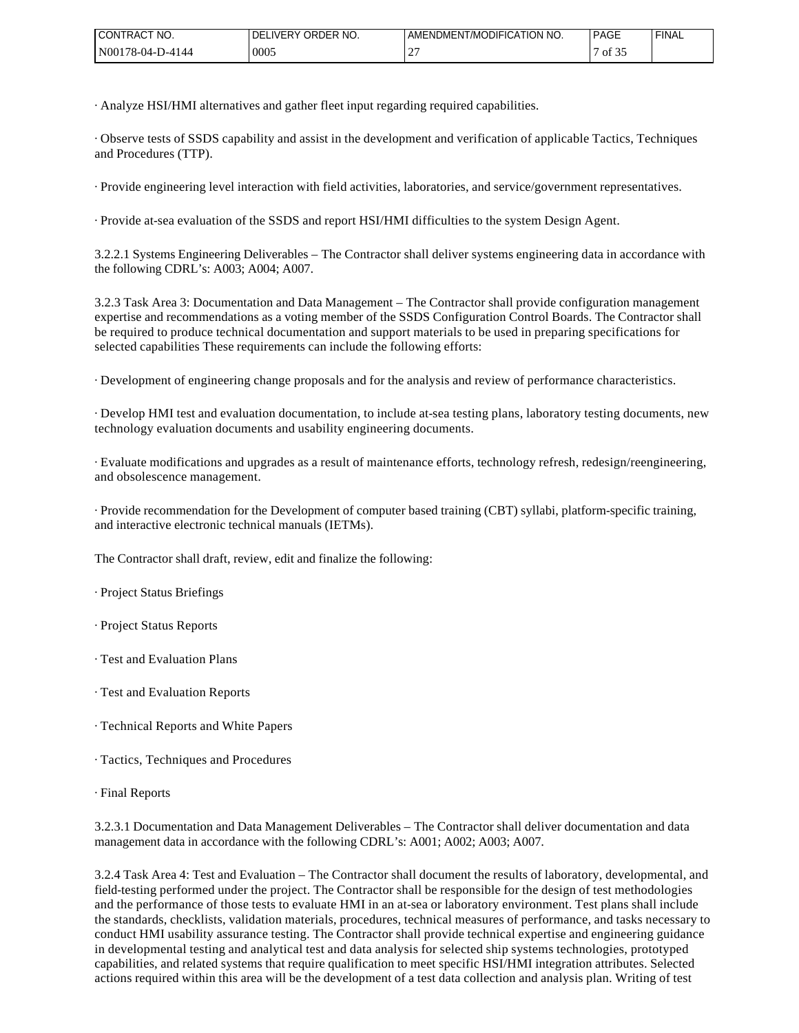| NO.<br>$\sim$<br>'CONTRACT                | ORDER NO.<br>LIVERY.<br>DF | <b>MODIFICA</b><br>ATION NO.<br>'AMENDMEN1, | <b>PAGE</b>                               | ' FINAL |
|-------------------------------------------|----------------------------|---------------------------------------------|-------------------------------------------|---------|
| 'N00178<br>7-4144<br>Ω4<br>$10^{-1}$<br>. | 0005                       | --<br><b>__</b>                             | $\sim$ $\sim$ $\sim$<br>$\overline{01}3.$ |         |

· Analyze HSI/HMI alternatives and gather fleet input regarding required capabilities.

· Observe tests of SSDS capability and assist in the development and verification of applicable Tactics, Techniques and Procedures (TTP).

· Provide engineering level interaction with field activities, laboratories, and service/government representatives.

· Provide at-sea evaluation of the SSDS and report HSI/HMI difficulties to the system Design Agent.

3.2.2.1 Systems Engineering Deliverables – The Contractor shall deliver systems engineering data in accordance with the following CDRL's: A003; A004; A007.

3.2.3 Task Area 3: Documentation and Data Management – The Contractor shall provide configuration management expertise and recommendations as a voting member of the SSDS Configuration Control Boards. The Contractor shall be required to produce technical documentation and support materials to be used in preparing specifications for selected capabilities These requirements can include the following efforts:

· Development of engineering change proposals and for the analysis and review of performance characteristics.

· Develop HMI test and evaluation documentation, to include at-sea testing plans, laboratory testing documents, new technology evaluation documents and usability engineering documents.

· Evaluate modifications and upgrades as a result of maintenance efforts, technology refresh, redesign/reengineering, and obsolescence management.

· Provide recommendation for the Development of computer based training (CBT) syllabi, platform-specific training, and interactive electronic technical manuals (IETMs).

The Contractor shall draft, review, edit and finalize the following:

· Project Status Briefings

- · Project Status Reports
- · Test and Evaluation Plans
- · Test and Evaluation Reports
- · Technical Reports and White Papers
- · Tactics, Techniques and Procedures
- · Final Reports

3.2.3.1 Documentation and Data Management Deliverables – The Contractor shall deliver documentation and data management data in accordance with the following CDRL's: A001; A002; A003; A007.

3.2.4 Task Area 4: Test and Evaluation – The Contractor shall document the results of laboratory, developmental, and field-testing performed under the project. The Contractor shall be responsible for the design of test methodologies and the performance of those tests to evaluate HMI in an at-sea or laboratory environment. Test plans shall include the standards, checklists, validation materials, procedures, technical measures of performance, and tasks necessary to conduct HMI usability assurance testing. The Contractor shall provide technical expertise and engineering guidance in developmental testing and analytical test and data analysis for selected ship systems technologies, prototyped capabilities, and related systems that require qualification to meet specific HSI/HMI integration attributes. Selected actions required within this area will be the development of a test data collection and analysis plan. Writing of test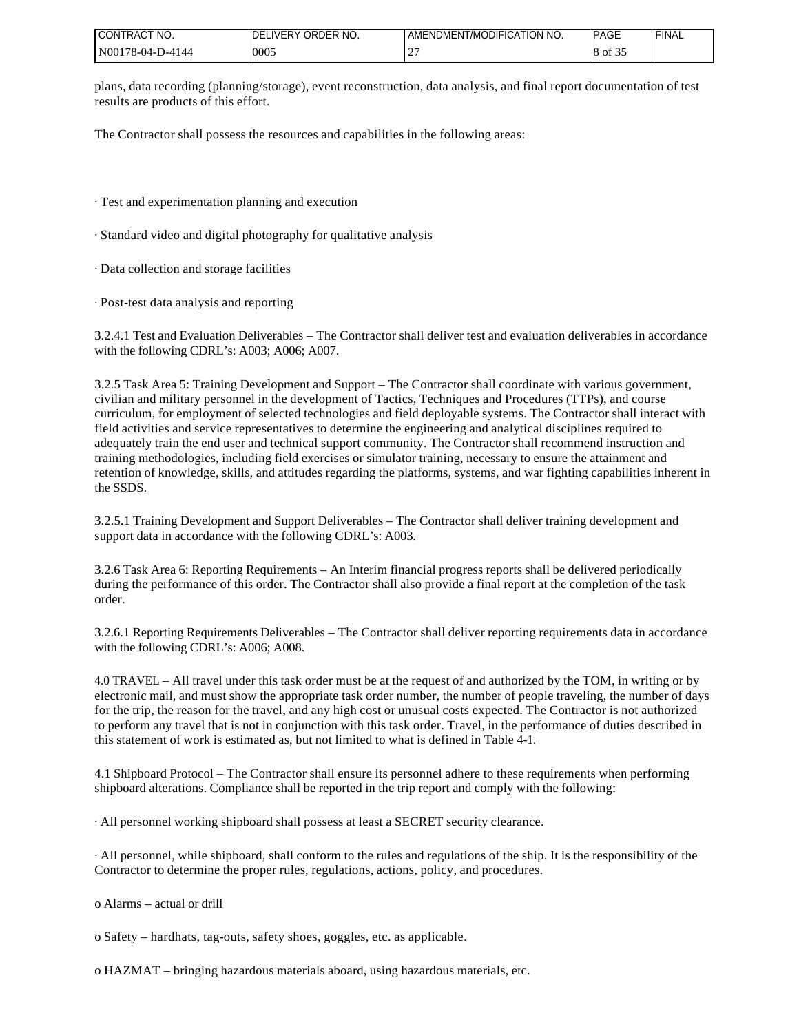| NO.<br><sup>1</sup> CONTRAC <sub>1</sub>                  | LIVERY ORDER NO.<br>DF | I AMENDMENT/MODIFICATION NO. | <b>PAGE</b>     | <b>FINAL</b> |
|-----------------------------------------------------------|------------------------|------------------------------|-----------------|--------------|
| N001 <sup>'</sup><br>ு ப<br>Ω4<br>1-4144<br>$10 -$<br>--- | 0005                   | $\sim$<br><b>__</b>          | $\sim$<br>OI 52 |              |

plans, data recording (planning/storage), event reconstruction, data analysis, and final report documentation of test results are products of this effort.

The Contractor shall possess the resources and capabilities in the following areas:

· Test and experimentation planning and execution

· Standard video and digital photography for qualitative analysis

· Data collection and storage facilities

· Post-test data analysis and reporting

3.2.4.1 Test and Evaluation Deliverables – The Contractor shall deliver test and evaluation deliverables in accordance with the following CDRL's: A003; A006; A007.

3.2.5 Task Area 5: Training Development and Support – The Contractor shall coordinate with various government, civilian and military personnel in the development of Tactics, Techniques and Procedures (TTPs), and course curriculum, for employment of selected technologies and field deployable systems. The Contractor shall interact with field activities and service representatives to determine the engineering and analytical disciplines required to adequately train the end user and technical support community. The Contractor shall recommend instruction and training methodologies, including field exercises or simulator training, necessary to ensure the attainment and retention of knowledge, skills, and attitudes regarding the platforms, systems, and war fighting capabilities inherent in the SSDS.

3.2.5.1 Training Development and Support Deliverables – The Contractor shall deliver training development and support data in accordance with the following CDRL's: A003.

3.2.6 Task Area 6: Reporting Requirements – An Interim financial progress reports shall be delivered periodically during the performance of this order. The Contractor shall also provide a final report at the completion of the task order.

3.2.6.1 Reporting Requirements Deliverables – The Contractor shall deliver reporting requirements data in accordance with the following CDRL's: A006; A008.

4.0 TRAVEL – All travel under this task order must be at the request of and authorized by the TOM, in writing or by electronic mail, and must show the appropriate task order number, the number of people traveling, the number of days for the trip, the reason for the travel, and any high cost or unusual costs expected. The Contractor is not authorized to perform any travel that is not in conjunction with this task order. Travel, in the performance of duties described in this statement of work is estimated as, but not limited to what is defined in Table 4-1.

4.1 Shipboard Protocol – The Contractor shall ensure its personnel adhere to these requirements when performing shipboard alterations. Compliance shall be reported in the trip report and comply with the following:

· All personnel working shipboard shall possess at least a SECRET security clearance.

· All personnel, while shipboard, shall conform to the rules and regulations of the ship. It is the responsibility of the Contractor to determine the proper rules, regulations, actions, policy, and procedures.

o Alarms – actual or drill

o Safety – hardhats, tag-outs, safety shoes, goggles, etc. as applicable.

o HAZMAT – bringing hazardous materials aboard, using hazardous materials, etc.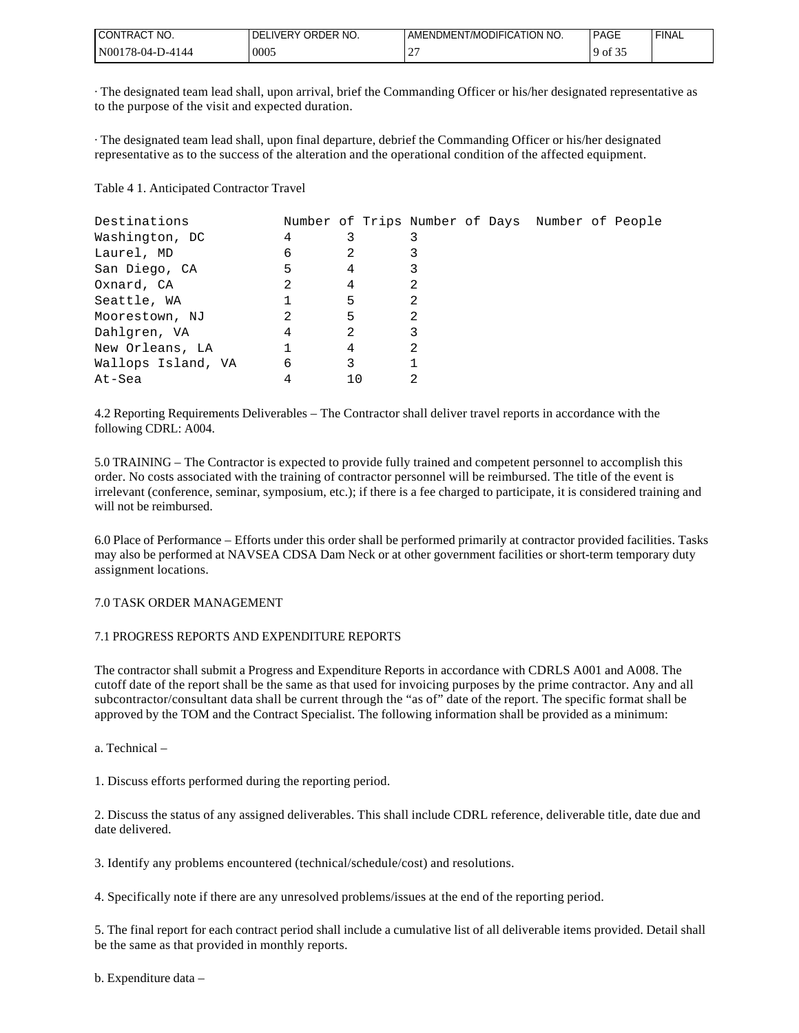| I CONTRACT NO.          | LIVERY ORDER NO.<br>DFI | AMENDMENT/MODIFICATION NO. | PAGE       | <b>FINA</b> |
|-------------------------|-------------------------|----------------------------|------------|-------------|
| ! N00178-04-L<br>D-4144 | 0005                    | $\mathbf{r}$<br>∸          | of 3.<br>ч |             |

· The designated team lead shall, upon arrival, brief the Commanding Officer or his/her designated representative as to the purpose of the visit and expected duration.

· The designated team lead shall, upon final departure, debrief the Commanding Officer or his/her designated representative as to the success of the alteration and the operational condition of the affected equipment.

Table 4 1. Anticipated Contractor Travel

| Destinations       | Number of Trips Number of Days Number of People |    |   |  |  |  |
|--------------------|-------------------------------------------------|----|---|--|--|--|
| Washington, DC     | 4                                               | 3  |   |  |  |  |
| Laurel, MD         | 6                                               | 2  |   |  |  |  |
| San Diego, CA      | 5                                               | 4  | 3 |  |  |  |
| Oxnard, CA         | 2                                               | 4  | 2 |  |  |  |
| Seattle, WA        |                                                 | 5  | 2 |  |  |  |
| Moorestown, NJ     | 2                                               | 5  | 2 |  |  |  |
| Dahlgren, VA       | 4                                               | 2  | 3 |  |  |  |
| New Orleans, LA    |                                                 | 4  | 2 |  |  |  |
| Wallops Island, VA | 6                                               | 3  |   |  |  |  |
| At-Sea             |                                                 | 10 |   |  |  |  |

4.2 Reporting Requirements Deliverables – The Contractor shall deliver travel reports in accordance with the following CDRL: A004.

5.0 TRAINING – The Contractor is expected to provide fully trained and competent personnel to accomplish this order. No costs associated with the training of contractor personnel will be reimbursed. The title of the event is irrelevant (conference, seminar, symposium, etc.); if there is a fee charged to participate, it is considered training and will not be reimbursed.

6.0 Place of Performance – Efforts under this order shall be performed primarily at contractor provided facilities. Tasks may also be performed at NAVSEA CDSA Dam Neck or at other government facilities or short-term temporary duty assignment locations.

### 7.0 TASK ORDER MANAGEMENT

### 7.1 PROGRESS REPORTS AND EXPENDITURE REPORTS

The contractor shall submit a Progress and Expenditure Reports in accordance with CDRLS A001 and A008. The cutoff date of the report shall be the same as that used for invoicing purposes by the prime contractor. Any and all subcontractor/consultant data shall be current through the "as of" date of the report. The specific format shall be approved by the TOM and the Contract Specialist. The following information shall be provided as a minimum:

a. Technical –

1. Discuss efforts performed during the reporting period.

2. Discuss the status of any assigned deliverables. This shall include CDRL reference, deliverable title, date due and date delivered.

3. Identify any problems encountered (technical/schedule/cost) and resolutions.

4. Specifically note if there are any unresolved problems/issues at the end of the reporting period.

5. The final report for each contract period shall include a cumulative list of all deliverable items provided. Detail shall be the same as that provided in monthly reports.

b. Expenditure data –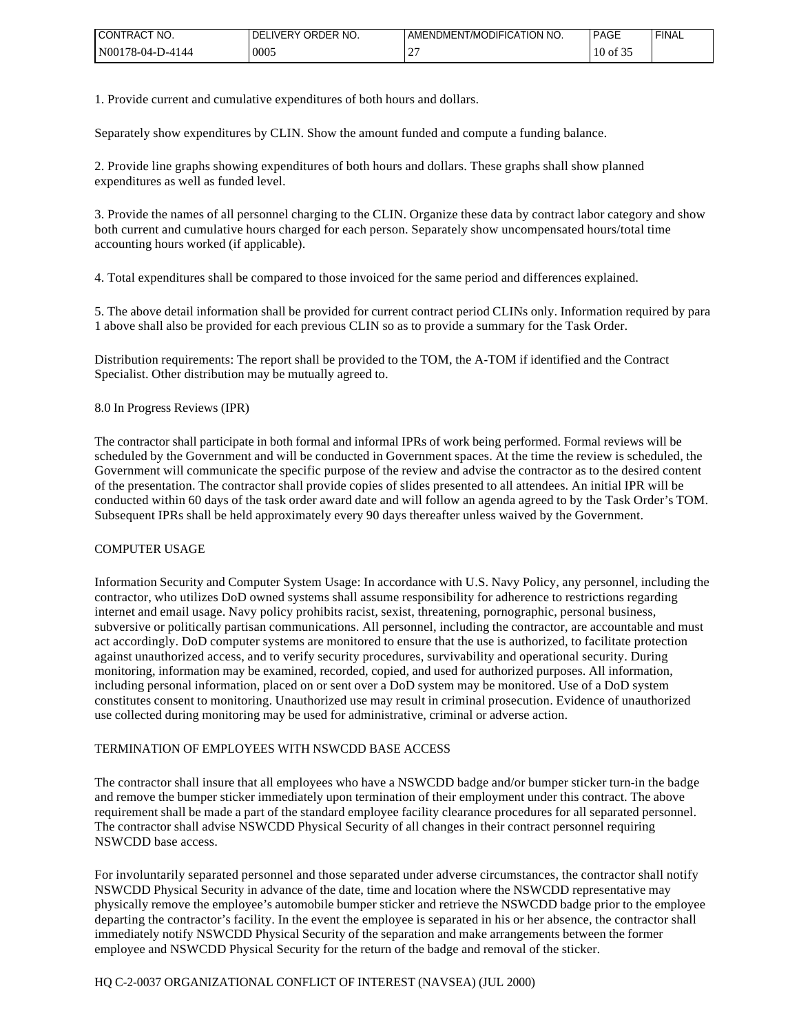| CT NO.<br><b>CONTRACT</b> | <b>IVERY</b><br>ORDER NO.<br>TDEL. | <b>T/MODIFICATION NO.</b><br>IENDMENT<br>AME | <b>PAGE</b> | <b>FINAL</b> |
|---------------------------|------------------------------------|----------------------------------------------|-------------|--------------|
| $'N00178-04-L$<br>D-4144  | 0005                               | $\sim$<br><b>__</b>                          | ΟĪ<br>10    |              |

1. Provide current and cumulative expenditures of both hours and dollars.

Separately show expenditures by CLIN. Show the amount funded and compute a funding balance.

2. Provide line graphs showing expenditures of both hours and dollars. These graphs shall show planned expenditures as well as funded level.

3. Provide the names of all personnel charging to the CLIN. Organize these data by contract labor category and show both current and cumulative hours charged for each person. Separately show uncompensated hours/total time accounting hours worked (if applicable).

4. Total expenditures shall be compared to those invoiced for the same period and differences explained.

5. The above detail information shall be provided for current contract period CLINs only. Information required by para 1 above shall also be provided for each previous CLIN so as to provide a summary for the Task Order.

Distribution requirements: The report shall be provided to the TOM, the A-TOM if identified and the Contract Specialist. Other distribution may be mutually agreed to.

#### 8.0 In Progress Reviews (IPR)

The contractor shall participate in both formal and informal IPRs of work being performed. Formal reviews will be scheduled by the Government and will be conducted in Government spaces. At the time the review is scheduled, the Government will communicate the specific purpose of the review and advise the contractor as to the desired content of the presentation. The contractor shall provide copies of slides presented to all attendees. An initial IPR will be conducted within 60 days of the task order award date and will follow an agenda agreed to by the Task Order's TOM. Subsequent IPRs shall be held approximately every 90 days thereafter unless waived by the Government.

#### COMPUTER USAGE

Information Security and Computer System Usage: In accordance with U.S. Navy Policy, any personnel, including the contractor, who utilizes DoD owned systems shall assume responsibility for adherence to restrictions regarding internet and email usage. Navy policy prohibits racist, sexist, threatening, pornographic, personal business, subversive or politically partisan communications. All personnel, including the contractor, are accountable and must act accordingly. DoD computer systems are monitored to ensure that the use is authorized, to facilitate protection against unauthorized access, and to verify security procedures, survivability and operational security. During monitoring, information may be examined, recorded, copied, and used for authorized purposes. All information, including personal information, placed on or sent over a DoD system may be monitored. Use of a DoD system constitutes consent to monitoring. Unauthorized use may result in criminal prosecution. Evidence of unauthorized use collected during monitoring may be used for administrative, criminal or adverse action.

### TERMINATION OF EMPLOYEES WITH NSWCDD BASE ACCESS

The contractor shall insure that all employees who have a NSWCDD badge and/or bumper sticker turn-in the badge and remove the bumper sticker immediately upon termination of their employment under this contract. The above requirement shall be made a part of the standard employee facility clearance procedures for all separated personnel. The contractor shall advise NSWCDD Physical Security of all changes in their contract personnel requiring NSWCDD base access.

For involuntarily separated personnel and those separated under adverse circumstances, the contractor shall notify NSWCDD Physical Security in advance of the date, time and location where the NSWCDD representative may physically remove the employee's automobile bumper sticker and retrieve the NSWCDD badge prior to the employee departing the contractor's facility. In the event the employee is separated in his or her absence, the contractor shall immediately notify NSWCDD Physical Security of the separation and make arrangements between the former employee and NSWCDD Physical Security for the return of the badge and removal of the sticker.

## HQ C-2-0037 ORGANIZATIONAL CONFLICT OF INTEREST (NAVSEA) (JUL 2000)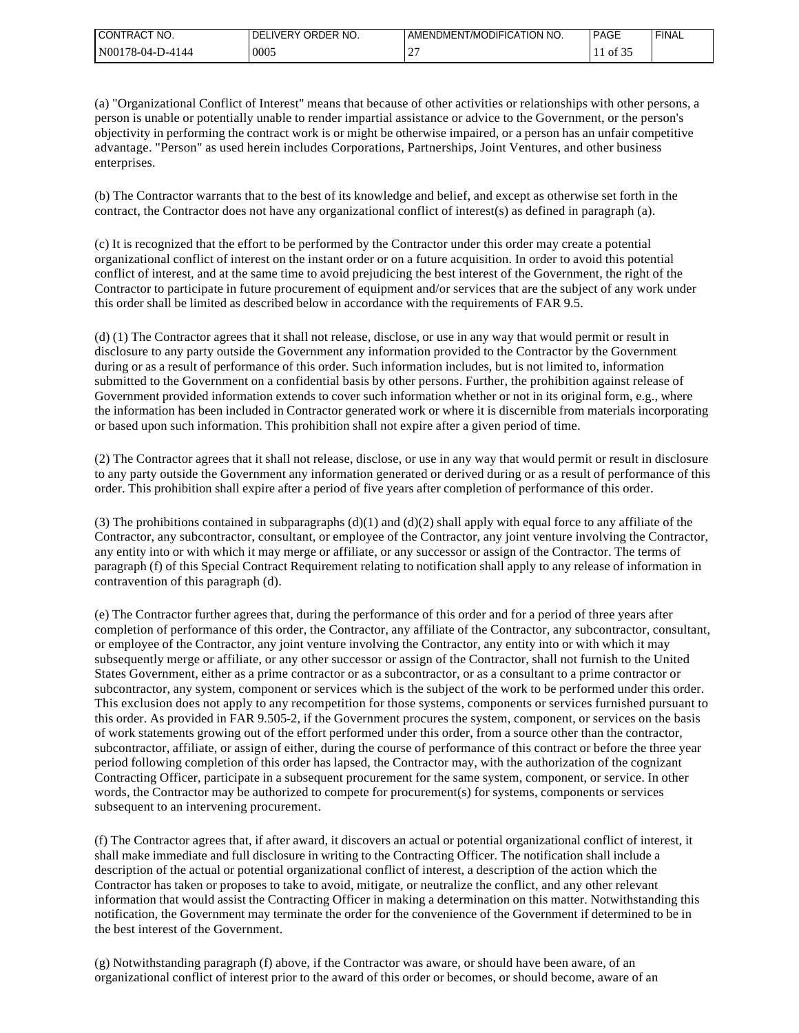| NO.<br><b>CONTRACT</b>                                  | ORDER<br>`NO.<br>DΙ<br>.⊢R⊻ ⊺ | <b>T/MODIFICATION</b><br>NO.<br>DMENT<br>.√I⊢NI` | <b>PAGE</b> | <b>FINAL</b> |
|---------------------------------------------------------|-------------------------------|--------------------------------------------------|-------------|--------------|
| $'N001$ .<br><u>ን 17 ርቃ</u><br>7-4144<br>$04-$<br>. റ-∙ | 0005                          | -                                                | 0I          |              |

(a) "Organizational Conflict of Interest" means that because of other activities or relationships with other persons, a person is unable or potentially unable to render impartial assistance or advice to the Government, or the person's objectivity in performing the contract work is or might be otherwise impaired, or a person has an unfair competitive advantage. "Person" as used herein includes Corporations, Partnerships, Joint Ventures, and other business enterprises.

(b) The Contractor warrants that to the best of its knowledge and belief, and except as otherwise set forth in the contract, the Contractor does not have any organizational conflict of interest(s) as defined in paragraph (a).

(c) It is recognized that the effort to be performed by the Contractor under this order may create a potential organizational conflict of interest on the instant order or on a future acquisition. In order to avoid this potential conflict of interest, and at the same time to avoid prejudicing the best interest of the Government, the right of the Contractor to participate in future procurement of equipment and/or services that are the subject of any work under this order shall be limited as described below in accordance with the requirements of FAR 9.5.

(d) (1) The Contractor agrees that it shall not release, disclose, or use in any way that would permit or result in disclosure to any party outside the Government any information provided to the Contractor by the Government during or as a result of performance of this order. Such information includes, but is not limited to, information submitted to the Government on a confidential basis by other persons. Further, the prohibition against release of Government provided information extends to cover such information whether or not in its original form, e.g., where the information has been included in Contractor generated work or where it is discernible from materials incorporating or based upon such information. This prohibition shall not expire after a given period of time.

(2) The Contractor agrees that it shall not release, disclose, or use in any way that would permit or result in disclosure to any party outside the Government any information generated or derived during or as a result of performance of this order. This prohibition shall expire after a period of five years after completion of performance of this order.

(3) The prohibitions contained in subparagraphs (d)(1) and (d)(2) shall apply with equal force to any affiliate of the Contractor, any subcontractor, consultant, or employee of the Contractor, any joint venture involving the Contractor, any entity into or with which it may merge or affiliate, or any successor or assign of the Contractor. The terms of paragraph (f) of this Special Contract Requirement relating to notification shall apply to any release of information in contravention of this paragraph (d).

(e) The Contractor further agrees that, during the performance of this order and for a period of three years after completion of performance of this order, the Contractor, any affiliate of the Contractor, any subcontractor, consultant, or employee of the Contractor, any joint venture involving the Contractor, any entity into or with which it may subsequently merge or affiliate, or any other successor or assign of the Contractor, shall not furnish to the United States Government, either as a prime contractor or as a subcontractor, or as a consultant to a prime contractor or subcontractor, any system, component or services which is the subject of the work to be performed under this order. This exclusion does not apply to any recompetition for those systems, components or services furnished pursuant to this order. As provided in FAR 9.505-2, if the Government procures the system, component, or services on the basis of work statements growing out of the effort performed under this order, from a source other than the contractor, subcontractor, affiliate, or assign of either, during the course of performance of this contract or before the three year period following completion of this order has lapsed, the Contractor may, with the authorization of the cognizant Contracting Officer, participate in a subsequent procurement for the same system, component, or service. In other words, the Contractor may be authorized to compete for procurement(s) for systems, components or services subsequent to an intervening procurement.

(f) The Contractor agrees that, if after award, it discovers an actual or potential organizational conflict of interest, it shall make immediate and full disclosure in writing to the Contracting Officer. The notification shall include a description of the actual or potential organizational conflict of interest, a description of the action which the Contractor has taken or proposes to take to avoid, mitigate, or neutralize the conflict, and any other relevant information that would assist the Contracting Officer in making a determination on this matter. Notwithstanding this notification, the Government may terminate the order for the convenience of the Government if determined to be in the best interest of the Government.

(g) Notwithstanding paragraph (f) above, if the Contractor was aware, or should have been aware, of an organizational conflict of interest prior to the award of this order or becomes, or should become, aware of an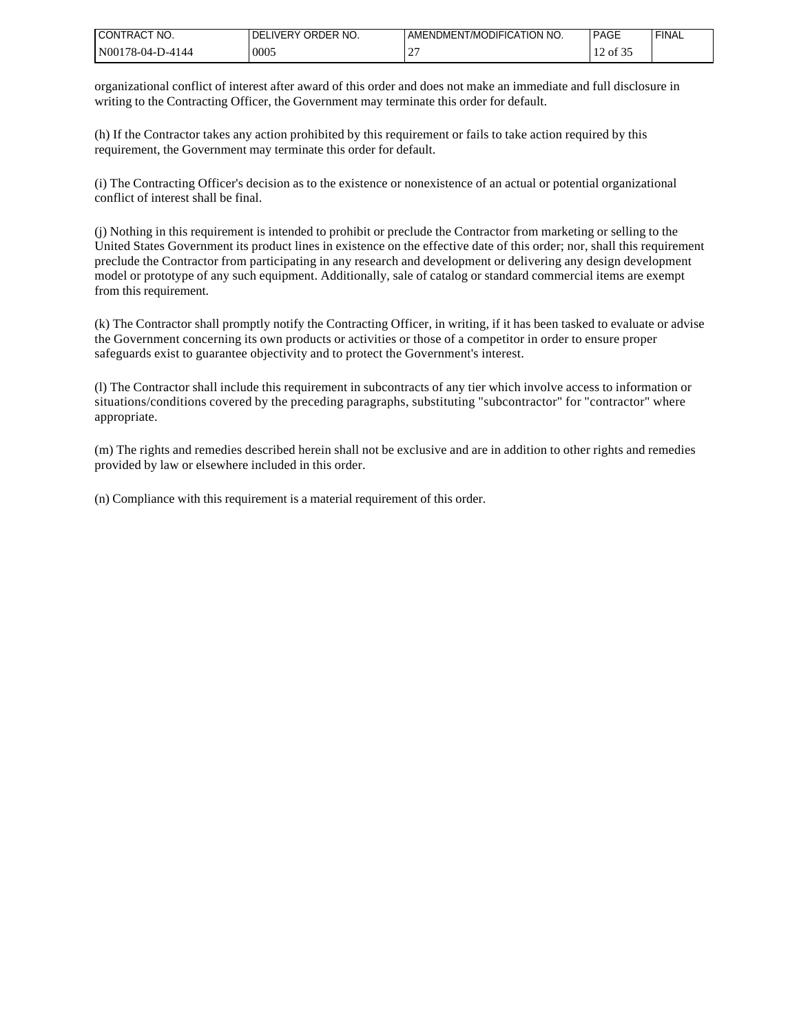| I CONTRACT NO.    | LIVERY ORDER NO.<br>DEL | AMENDMENT/MODIFICATION NO. | PAGE     | <b>FINA</b> |
|-------------------|-------------------------|----------------------------|----------|-------------|
| IN00178-04-D-4144 | 0005                    | $\bigcap$<br>∼             | 12 of 35 |             |

organizational conflict of interest after award of this order and does not make an immediate and full disclosure in writing to the Contracting Officer, the Government may terminate this order for default.

(h) If the Contractor takes any action prohibited by this requirement or fails to take action required by this requirement, the Government may terminate this order for default.

(i) The Contracting Officer's decision as to the existence or nonexistence of an actual or potential organizational conflict of interest shall be final.

(j) Nothing in this requirement is intended to prohibit or preclude the Contractor from marketing or selling to the United States Government its product lines in existence on the effective date of this order; nor, shall this requirement preclude the Contractor from participating in any research and development or delivering any design development model or prototype of any such equipment. Additionally, sale of catalog or standard commercial items are exempt from this requirement.

(k) The Contractor shall promptly notify the Contracting Officer, in writing, if it has been tasked to evaluate or advise the Government concerning its own products or activities or those of a competitor in order to ensure proper safeguards exist to guarantee objectivity and to protect the Government's interest.

(l) The Contractor shall include this requirement in subcontracts of any tier which involve access to information or situations/conditions covered by the preceding paragraphs, substituting "subcontractor" for "contractor" where appropriate.

(m) The rights and remedies described herein shall not be exclusive and are in addition to other rights and remedies provided by law or elsewhere included in this order.

(n) Compliance with this requirement is a material requirement of this order.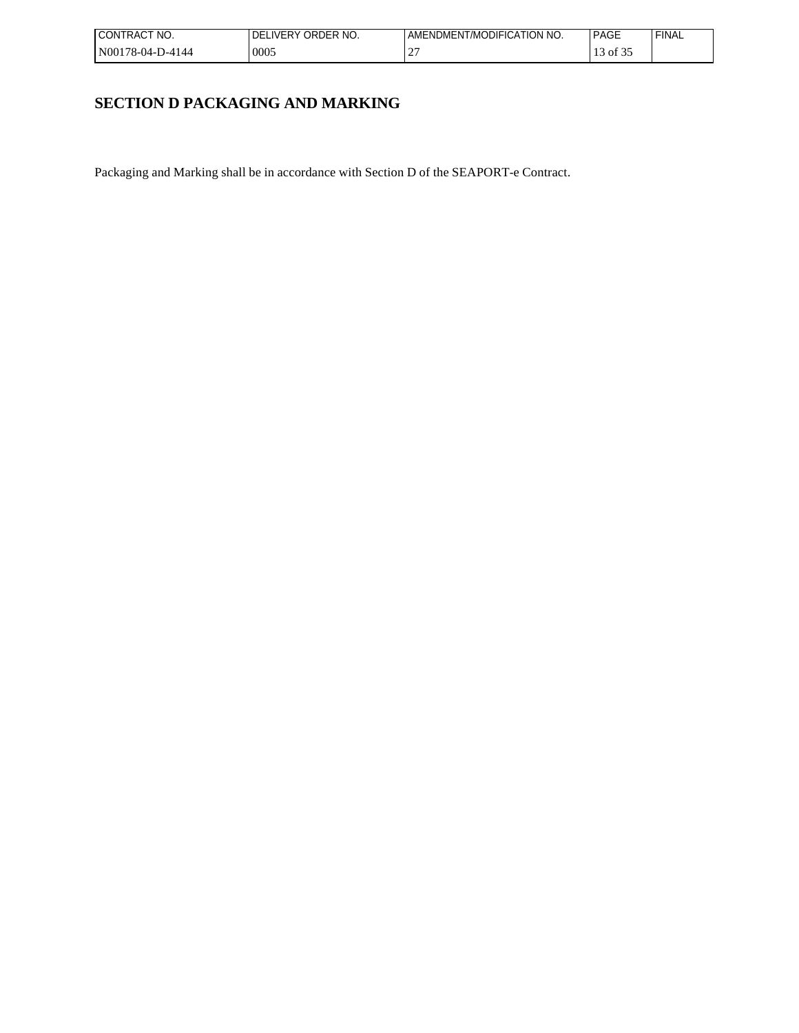| I CONTRACT<br>'NO. | LIVERY ORDER NO.<br>DEL | AMENDMENT/MODIFICATION NO. | <b>PAGE</b> | <b>FINAL</b> |
|--------------------|-------------------------|----------------------------|-------------|--------------|
| N00178-04-D-4144   | 0005                    | $\bigcap$<br>∸             | of 35       |              |

# **SECTION D PACKAGING AND MARKING**

Packaging and Marking shall be in accordance with Section D of the SEAPORT-e Contract.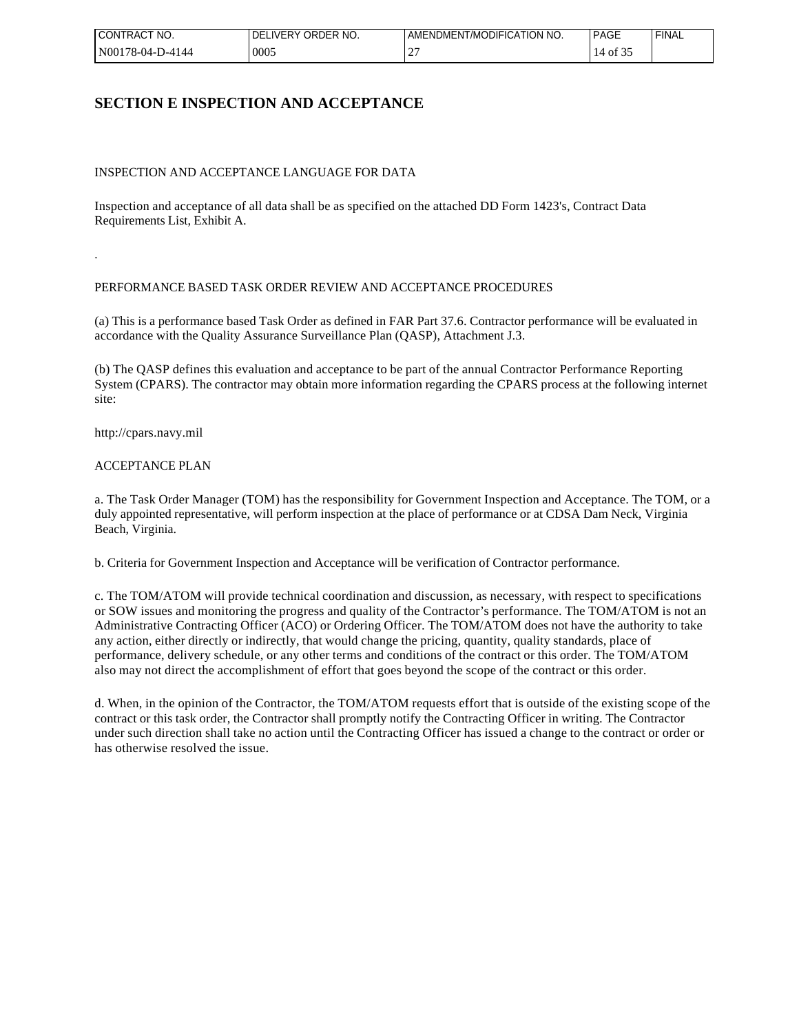| I CONTRACT<br>" NO. | DELIVERY ORDER NO. | AMENDMENT/MODIFICATION NO. | <b>PAGE</b> | <b>FINAL</b> |
|---------------------|--------------------|----------------------------|-------------|--------------|
| N00178-04-D-4144    | 0005               | -                          | ΟĪ          |              |

## **SECTION E INSPECTION AND ACCEPTANCE**

#### INSPECTION AND ACCEPTANCE LANGUAGE FOR DATA

Inspection and acceptance of all data shall be as specified on the attached DD Form 1423's, Contract Data Requirements List, Exhibit A.

#### PERFORMANCE BASED TASK ORDER REVIEW AND ACCEPTANCE PROCEDURES

(a) This is a performance based Task Order as defined in FAR Part 37.6. Contractor performance will be evaluated in accordance with the Quality Assurance Surveillance Plan (QASP), Attachment J.3.

(b) The QASP defines this evaluation and acceptance to be part of the annual Contractor Performance Reporting System (CPARS). The contractor may obtain more information regarding the CPARS process at the following internet site:

http://cpars.navy.mil

.

#### ACCEPTANCE PLAN

a. The Task Order Manager (TOM) has the responsibility for Government Inspection and Acceptance. The TOM, or a duly appointed representative, will perform inspection at the place of performance or at CDSA Dam Neck, Virginia Beach, Virginia.

b. Criteria for Government Inspection and Acceptance will be verification of Contractor performance.

c. The TOM/ATOM will provide technical coordination and discussion, as necessary, with respect to specifications or SOW issues and monitoring the progress and quality of the Contractor's performance. The TOM/ATOM is not an Administrative Contracting Officer (ACO) or Ordering Officer. The TOM/ATOM does not have the authority to take any action, either directly or indirectly, that would change the pricing, quantity, quality standards, place of performance, delivery schedule, or any other terms and conditions of the contract or this order. The TOM/ATOM also may not direct the accomplishment of effort that goes beyond the scope of the contract or this order.

d. When, in the opinion of the Contractor, the TOM/ATOM requests effort that is outside of the existing scope of the contract or this task order, the Contractor shall promptly notify the Contracting Officer in writing. The Contractor under such direction shall take no action until the Contracting Officer has issued a change to the contract or order or has otherwise resolved the issue.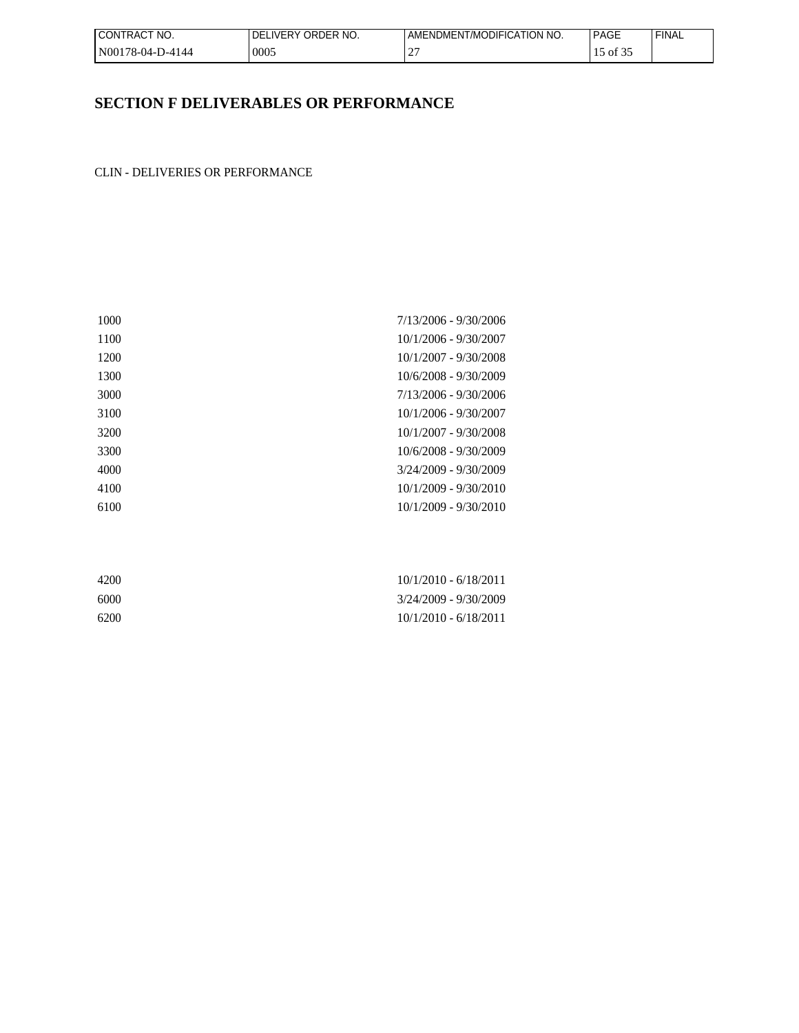| I CONTRACT<br>NO. | ELIVERY ORDER NO.<br>DEL | ENT/MODIFICATION NO.<br>AMENDMENT | <b>PAGE</b>        | <b>FINAL</b> |
|-------------------|--------------------------|-----------------------------------|--------------------|--------------|
| N00178-04-D-4144  | 0005                     | $\sim$<br><b>__</b>               | of 3.<br><b>TD</b> |              |

# **SECTION F DELIVERABLES OR PERFORMANCE**

CLIN - DELIVERIES OR PERFORMANCE

| 1000 | 7/13/2006 - 9/30/2006   |
|------|-------------------------|
| 1100 | 10/1/2006 - 9/30/2007   |
| 1200 | 10/1/2007 - 9/30/2008   |
| 1300 | 10/6/2008 - 9/30/2009   |
| 3000 | 7/13/2006 - 9/30/2006   |
| 3100 | 10/1/2006 - 9/30/2007   |
| 3200 | 10/1/2007 - 9/30/2008   |
| 3300 | 10/6/2008 - 9/30/2009   |
| 4000 | $3/24/2009 - 9/30/2009$ |
| 4100 | $10/1/2009 - 9/30/2010$ |
| 6100 | 10/1/2009 - 9/30/2010   |
|      |                         |

| 4200 | $10/1/2010 - 6/18/2011$ |
|------|-------------------------|
| 6000 | 3/24/2009 - 9/30/2009   |
| 6200 | $10/1/2010 - 6/18/2011$ |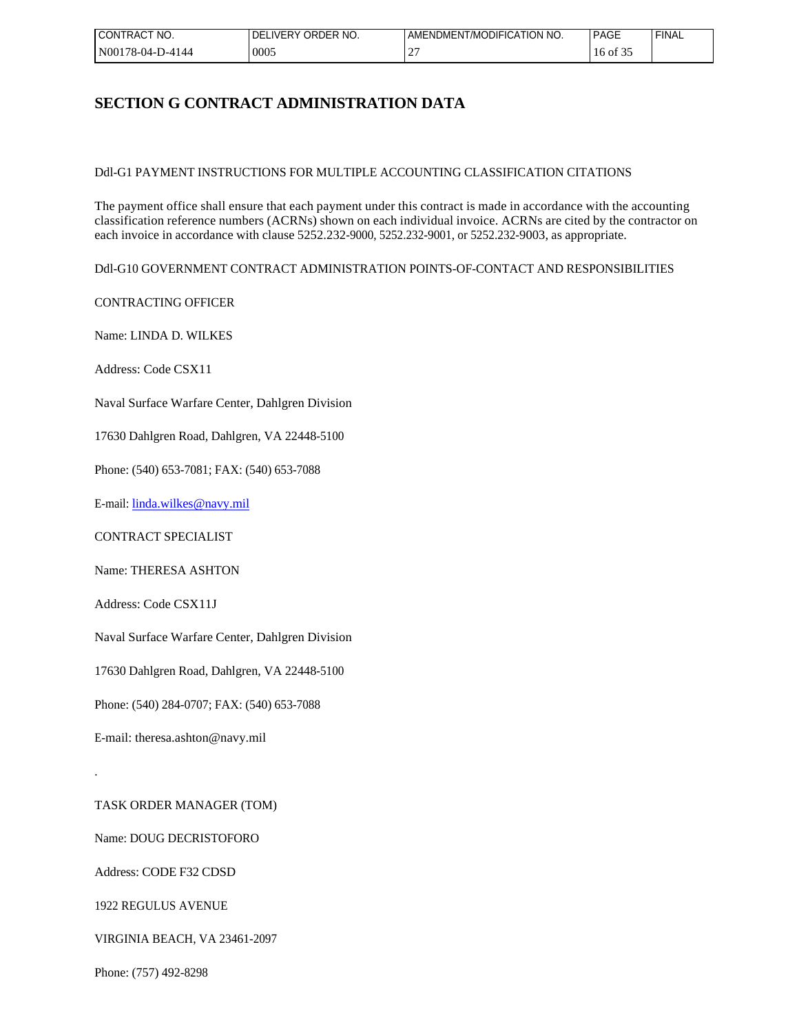| I CONTRACT NO.   | LIVERY ORDER NO.<br>DFI | AMENDMENT/MODIFICATION NO. | <b>PAGE</b> | <b>FINAL</b> |
|------------------|-------------------------|----------------------------|-------------|--------------|
| N00178-04-D-4144 | 0005                    |                            | 16 of       |              |

## **SECTION G CONTRACT ADMINISTRATION DATA**

Ddl-G1 PAYMENT INSTRUCTIONS FOR MULTIPLE ACCOUNTING CLASSIFICATION CITATIONS

The payment office shall ensure that each payment under this contract is made in accordance with the accounting classification reference numbers (ACRNs) shown on each individual invoice. ACRNs are cited by the contractor on each invoice in accordance with clause 5252.232-9000, 5252.232-9001, or 5252.232-9003, as appropriate.

Ddl-G10 GOVERNMENT CONTRACT ADMINISTRATION POINTS-OF-CONTACT AND RESPONSIBILITIES

CONTRACTING OFFICER

Name: LINDA D. WILKES

Address: Code CSX11

Naval Surface Warfare Center, Dahlgren Division

17630 Dahlgren Road, Dahlgren, VA 22448-5100

Phone: (540) 653-7081; FAX: (540) 653-7088

E-mail: [linda.wilkes@navy.mil](mailto:linda.wilkes@navy.mil)

CONTRACT SPECIALIST

Name: THERESA ASHTON

Address: Code CSX11J

Naval Surface Warfare Center, Dahlgren Division

17630 Dahlgren Road, Dahlgren, VA 22448-5100

Phone: (540) 284-0707; FAX: (540) 653-7088

E-mail: theresa.ashton@navy.mil

TASK ORDER MANAGER (TOM)

Name: DOUG DECRISTOFORO

Address: CODE F32 CDSD

.

1922 REGULUS AVENUE

VIRGINIA BEACH, VA 23461-2097

Phone: (757) 492-8298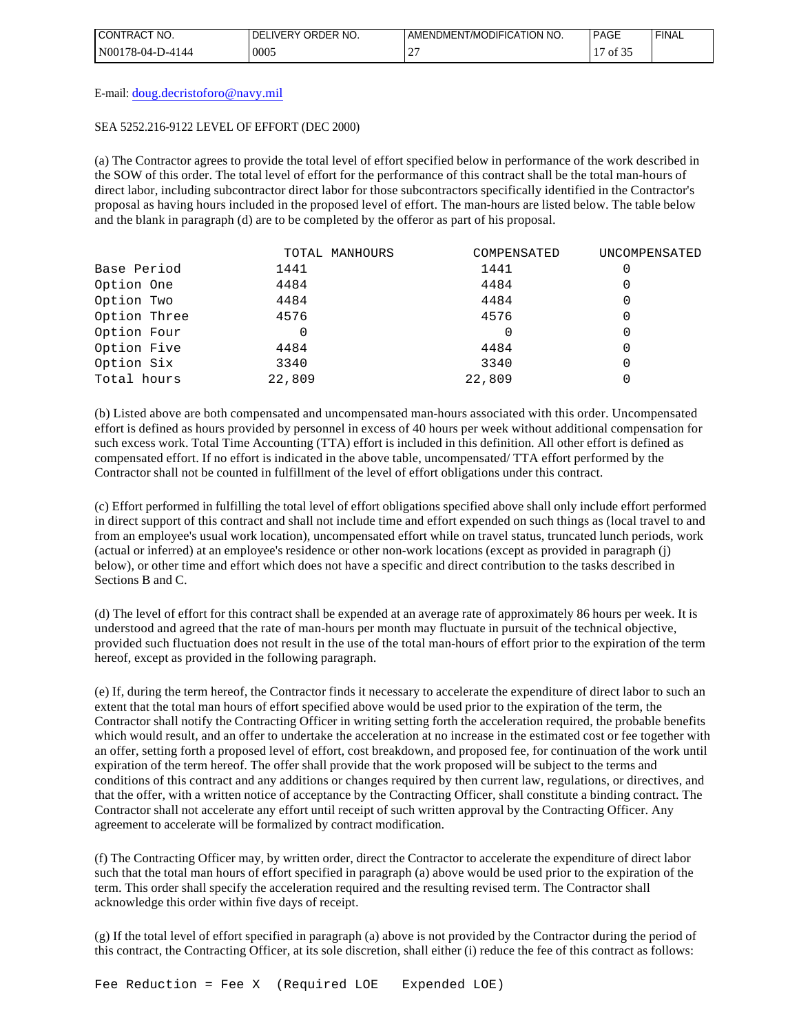| NO.<br><b>I CONTRACT</b> | <b>'JVERY ORDER NO.</b><br>DELI | AMENDMENT/MODIFICATION NO. | <b>PAGE</b> | ' FINAL |
|--------------------------|---------------------------------|----------------------------|-------------|---------|
| $N00178-04-D-4144$       | 0005                            | $\sim$<br><b>__</b>        | of 35       |         |

E-mail: [doug.decristoforo@navy.mil](mailto:doug.decristoforo@navy.mil)

#### SEA 5252.216-9122 LEVEL OF EFFORT (DEC 2000)

(a) The Contractor agrees to provide the total level of effort specified below in performance of the work described in the SOW of this order. The total level of effort for the performance of this contract shall be the total man-hours of direct labor, including subcontractor direct labor for those subcontractors specifically identified in the Contractor's proposal as having hours included in the proposed level of effort. The man-hours are listed below. The table below and the blank in paragraph (d) are to be completed by the offeror as part of his proposal.

|              | TOTAL MANHOURS | COMPENSATED | UNCOMPENSATED |
|--------------|----------------|-------------|---------------|
| Base Period  | 1441           | 1441        | 0             |
| Option One   | 4484           | 4484        | 0             |
| Option Two   | 4484           | 4484        |               |
| Option Three | 4576           | 4576        | 0             |
| Option Four  | 0              |             | 0             |
| Option Five  | 4484           | 4484        | 0             |
| Option Six   | 3340           | 3340        | 0             |
| Total hours  | 22,809         | 22,809      |               |

(b) Listed above are both compensated and uncompensated man-hours associated with this order. Uncompensated effort is defined as hours provided by personnel in excess of 40 hours per week without additional compensation for such excess work. Total Time Accounting (TTA) effort is included in this definition. All other effort is defined as compensated effort. If no effort is indicated in the above table, uncompensated/ TTA effort performed by the Contractor shall not be counted in fulfillment of the level of effort obligations under this contract.

(c) Effort performed in fulfilling the total level of effort obligations specified above shall only include effort performed in direct support of this contract and shall not include time and effort expended on such things as (local travel to and from an employee's usual work location), uncompensated effort while on travel status, truncated lunch periods, work (actual or inferred) at an employee's residence or other non-work locations (except as provided in paragraph (j) below), or other time and effort which does not have a specific and direct contribution to the tasks described in Sections B and C.

(d) The level of effort for this contract shall be expended at an average rate of approximately 86 hours per week. It is understood and agreed that the rate of man-hours per month may fluctuate in pursuit of the technical objective, provided such fluctuation does not result in the use of the total man-hours of effort prior to the expiration of the term hereof, except as provided in the following paragraph.

(e) If, during the term hereof, the Contractor finds it necessary to accelerate the expenditure of direct labor to such an extent that the total man hours of effort specified above would be used prior to the expiration of the term, the Contractor shall notify the Contracting Officer in writing setting forth the acceleration required, the probable benefits which would result, and an offer to undertake the acceleration at no increase in the estimated cost or fee together with an offer, setting forth a proposed level of effort, cost breakdown, and proposed fee, for continuation of the work until expiration of the term hereof. The offer shall provide that the work proposed will be subject to the terms and conditions of this contract and any additions or changes required by then current law, regulations, or directives, and that the offer, with a written notice of acceptance by the Contracting Officer, shall constitute a binding contract. The Contractor shall not accelerate any effort until receipt of such written approval by the Contracting Officer. Any agreement to accelerate will be formalized by contract modification.

(f) The Contracting Officer may, by written order, direct the Contractor to accelerate the expenditure of direct labor such that the total man hours of effort specified in paragraph (a) above would be used prior to the expiration of the term. This order shall specify the acceleration required and the resulting revised term. The Contractor shall acknowledge this order within five days of receipt.

(g) If the total level of effort specified in paragraph (a) above is not provided by the Contractor during the period of this contract, the Contracting Officer, at its sole discretion, shall either (i) reduce the fee of this contract as follows: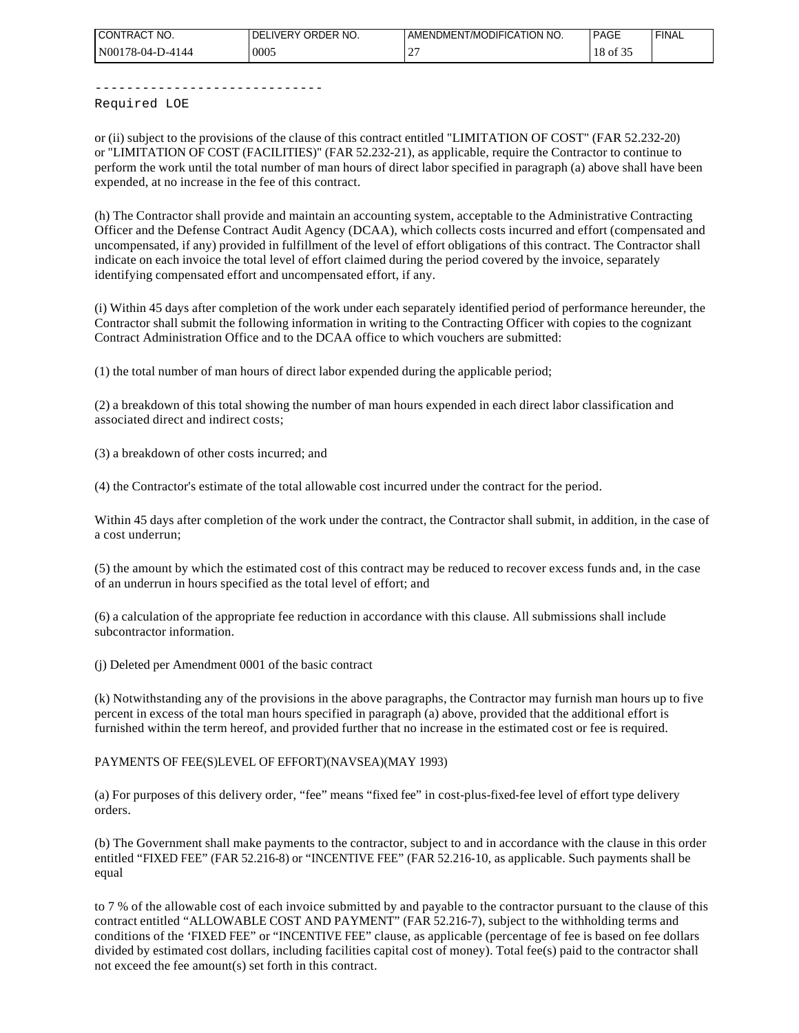| I CONTRACT NO.          | LIVERY ORDER NO.<br>DFI | AMENDMENT/MODIFICATION NO. | <b>PAGE</b>               | <b>FINAL</b> |
|-------------------------|-------------------------|----------------------------|---------------------------|--------------|
| N00178-04-D-<br>D-4144- | 0005                    | $\sim$<br>∸                | $\sim$ $\sim$<br>18 of 35 |              |

-----------------------------

Required LOE

or (ii) subject to the provisions of the clause of this contract entitled "LIMITATION OF COST" (FAR 52.232-20) or "LIMITATION OF COST (FACILITIES)" (FAR 52.232-21), as applicable, require the Contractor to continue to perform the work until the total number of man hours of direct labor specified in paragraph (a) above shall have been expended, at no increase in the fee of this contract.

(h) The Contractor shall provide and maintain an accounting system, acceptable to the Administrative Contracting Officer and the Defense Contract Audit Agency (DCAA), which collects costs incurred and effort (compensated and uncompensated, if any) provided in fulfillment of the level of effort obligations of this contract. The Contractor shall indicate on each invoice the total level of effort claimed during the period covered by the invoice, separately identifying compensated effort and uncompensated effort, if any.

(i) Within 45 days after completion of the work under each separately identified period of performance hereunder, the Contractor shall submit the following information in writing to the Contracting Officer with copies to the cognizant Contract Administration Office and to the DCAA office to which vouchers are submitted:

(1) the total number of man hours of direct labor expended during the applicable period;

(2) a breakdown of this total showing the number of man hours expended in each direct labor classification and associated direct and indirect costs;

(3) a breakdown of other costs incurred; and

(4) the Contractor's estimate of the total allowable cost incurred under the contract for the period.

Within 45 days after completion of the work under the contract, the Contractor shall submit, in addition, in the case of a cost underrun;

(5) the amount by which the estimated cost of this contract may be reduced to recover excess funds and, in the case of an underrun in hours specified as the total level of effort; and

(6) a calculation of the appropriate fee reduction in accordance with this clause. All submissions shall include subcontractor information.

(j) Deleted per Amendment 0001 of the basic contract

(k) Notwithstanding any of the provisions in the above paragraphs, the Contractor may furnish man hours up to five percent in excess of the total man hours specified in paragraph (a) above, provided that the additional effort is furnished within the term hereof, and provided further that no increase in the estimated cost or fee is required.

PAYMENTS OF FEE(S)LEVEL OF EFFORT)(NAVSEA)(MAY 1993)

(a) For purposes of this delivery order, "fee" means "fixed fee" in cost-plus-fixed-fee level of effort type delivery orders.

(b) The Government shall make payments to the contractor, subject to and in accordance with the clause in this order entitled "FIXED FEE" (FAR 52.216-8) or "INCENTIVE FEE" (FAR 52.216-10, as applicable. Such payments shall be equal

to 7 % of the allowable cost of each invoice submitted by and payable to the contractor pursuant to the clause of this contract entitled "ALLOWABLE COST AND PAYMENT" (FAR 52.216-7), subject to the withholding terms and conditions of the 'FIXED FEE" or "INCENTIVE FEE" clause, as applicable (percentage of fee is based on fee dollars divided by estimated cost dollars, including facilities capital cost of money). Total fee(s) paid to the contractor shall not exceed the fee amount(s) set forth in this contract.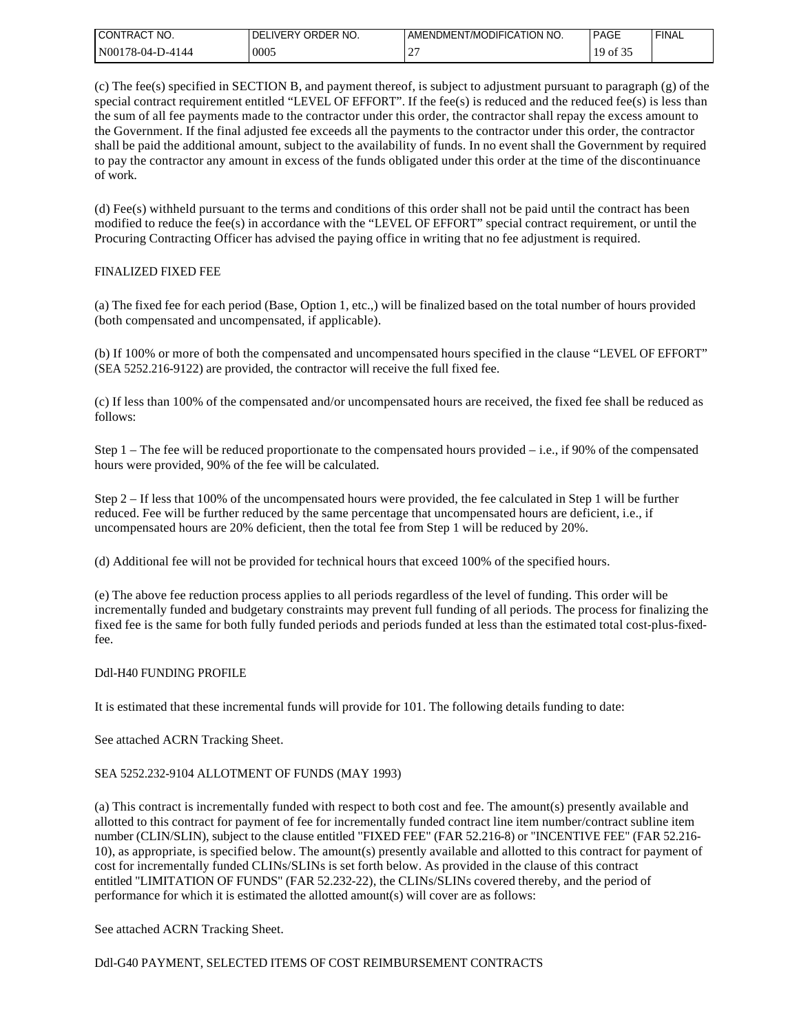| 'NO.<br><b>CONTRAC</b> | ORDER NO.<br><b>IVERY</b><br>TDEL. | AMENDMENT/MODIFICATION NO. | PAGE  | ' FINAL |
|------------------------|------------------------------------|----------------------------|-------|---------|
| N00178-04-D-4144       | 0005                               | -                          | of 3. |         |

(c) The fee(s) specified in SECTION B, and payment thereof, is subject to adjustment pursuant to paragraph (g) of the special contract requirement entitled "LEVEL OF EFFORT". If the fee(s) is reduced and the reduced fee(s) is less than the sum of all fee payments made to the contractor under this order, the contractor shall repay the excess amount to the Government. If the final adjusted fee exceeds all the payments to the contractor under this order, the contractor shall be paid the additional amount, subject to the availability of funds. In no event shall the Government by required to pay the contractor any amount in excess of the funds obligated under this order at the time of the discontinuance of work.

(d) Fee(s) withheld pursuant to the terms and conditions of this order shall not be paid until the contract has been modified to reduce the fee(s) in accordance with the "LEVEL OF EFFORT" special contract requirement, or until the Procuring Contracting Officer has advised the paying office in writing that no fee adjustment is required.

#### FINALIZED FIXED FEE

(a) The fixed fee for each period (Base, Option 1, etc.,) will be finalized based on the total number of hours provided (both compensated and uncompensated, if applicable).

(b) If 100% or more of both the compensated and uncompensated hours specified in the clause "LEVEL OF EFFORT" (SEA 5252.216-9122) are provided, the contractor will receive the full fixed fee.

(c) If less than 100% of the compensated and/or uncompensated hours are received, the fixed fee shall be reduced as follows:

Step  $1$  – The fee will be reduced proportionate to the compensated hours provided – i.e., if 90% of the compensated hours were provided, 90% of the fee will be calculated.

Step 2 – If less that 100% of the uncompensated hours were provided, the fee calculated in Step 1 will be further reduced. Fee will be further reduced by the same percentage that uncompensated hours are deficient, i.e., if uncompensated hours are 20% deficient, then the total fee from Step 1 will be reduced by 20%.

(d) Additional fee will not be provided for technical hours that exceed 100% of the specified hours.

(e) The above fee reduction process applies to all periods regardless of the level of funding. This order will be incrementally funded and budgetary constraints may prevent full funding of all periods. The process for finalizing the fixed fee is the same for both fully funded periods and periods funded at less than the estimated total cost-plus-fixedfee.

#### Ddl-H40 FUNDING PROFILE

It is estimated that these incremental funds will provide for 101. The following details funding to date:

### See attached ACRN Tracking Sheet.

### SEA 5252.232-9104 ALLOTMENT OF FUNDS (MAY 1993)

(a) This contract is incrementally funded with respect to both cost and fee. The amount(s) presently available and allotted to this contract for payment of fee for incrementally funded contract line item number/contract subline item number (CLIN/SLIN), subject to the clause entitled "FIXED FEE" (FAR 52.216-8) or "INCENTIVE FEE" (FAR 52.216- 10), as appropriate, is specified below. The amount(s) presently available and allotted to this contract for payment of cost for incrementally funded CLINs/SLINs is set forth below. As provided in the clause of this contract entitled "LIMITATION OF FUNDS" (FAR 52.232-22), the CLINs/SLINs covered thereby, and the period of performance for which it is estimated the allotted amount(s) will cover are as follows:

See attached ACRN Tracking Sheet.

Ddl-G40 PAYMENT, SELECTED ITEMS OF COST REIMBURSEMENT CONTRACTS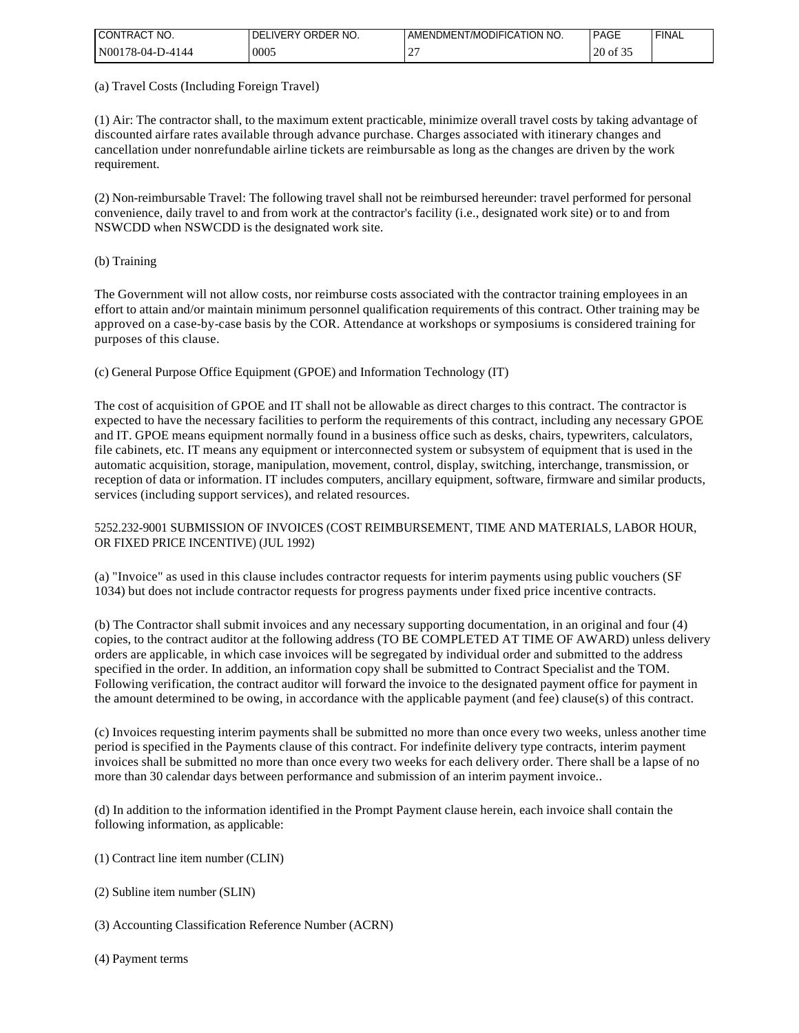| 'NO.<br><b>I CONTRACT</b> | ORDER NO.<br><b>IVERY</b><br>DEI | NDMENT/MODIFICATION NO.<br>ΔР<br>AMENI ' | <b>PAGE</b>        | <b>FINAL</b> |
|---------------------------|----------------------------------|------------------------------------------|--------------------|--------------|
| N00178<br>78-04-D-4144    | 0005                             | $\sim$<br><b>__</b>                      | $\cap$<br>20 of 35 |              |

(a) Travel Costs (Including Foreign Travel)

(1) Air: The contractor shall, to the maximum extent practicable, minimize overall travel costs by taking advantage of discounted airfare rates available through advance purchase. Charges associated with itinerary changes and cancellation under nonrefundable airline tickets are reimbursable as long as the changes are driven by the work requirement.

(2) Non-reimbursable Travel: The following travel shall not be reimbursed hereunder: travel performed for personal convenience, daily travel to and from work at the contractor's facility (i.e., designated work site) or to and from NSWCDD when NSWCDD is the designated work site.

(b) Training

The Government will not allow costs, nor reimburse costs associated with the contractor training employees in an effort to attain and/or maintain minimum personnel qualification requirements of this contract. Other training may be approved on a case-by-case basis by the COR. Attendance at workshops or symposiums is considered training for purposes of this clause.

(c) General Purpose Office Equipment (GPOE) and Information Technology (IT)

The cost of acquisition of GPOE and IT shall not be allowable as direct charges to this contract. The contractor is expected to have the necessary facilities to perform the requirements of this contract, including any necessary GPOE and IT. GPOE means equipment normally found in a business office such as desks, chairs, typewriters, calculators, file cabinets, etc. IT means any equipment or interconnected system or subsystem of equipment that is used in the automatic acquisition, storage, manipulation, movement, control, display, switching, interchange, transmission, or reception of data or information. IT includes computers, ancillary equipment, software, firmware and similar products, services (including support services), and related resources.

### 5252.232-9001 SUBMISSION OF INVOICES (COST REIMBURSEMENT, TIME AND MATERIALS, LABOR HOUR, OR FIXED PRICE INCENTIVE) (JUL 1992)

(a) "Invoice" as used in this clause includes contractor requests for interim payments using public vouchers (SF 1034) but does not include contractor requests for progress payments under fixed price incentive contracts.

(b) The Contractor shall submit invoices and any necessary supporting documentation, in an original and four (4) copies, to the contract auditor at the following address (TO BE COMPLETED AT TIME OF AWARD) unless delivery orders are applicable, in which case invoices will be segregated by individual order and submitted to the address specified in the order. In addition, an information copy shall be submitted to Contract Specialist and the TOM. Following verification, the contract auditor will forward the invoice to the designated payment office for payment in the amount determined to be owing, in accordance with the applicable payment (and fee) clause(s) of this contract.

(c) Invoices requesting interim payments shall be submitted no more than once every two weeks, unless another time period is specified in the Payments clause of this contract. For indefinite delivery type contracts, interim payment invoices shall be submitted no more than once every two weeks for each delivery order. There shall be a lapse of no more than 30 calendar days between performance and submission of an interim payment invoice..

(d) In addition to the information identified in the Prompt Payment clause herein, each invoice shall contain the following information, as applicable:

- (1) Contract line item number (CLIN)
- (2) Subline item number (SLIN)
- (3) Accounting Classification Reference Number (ACRN)
- (4) Payment terms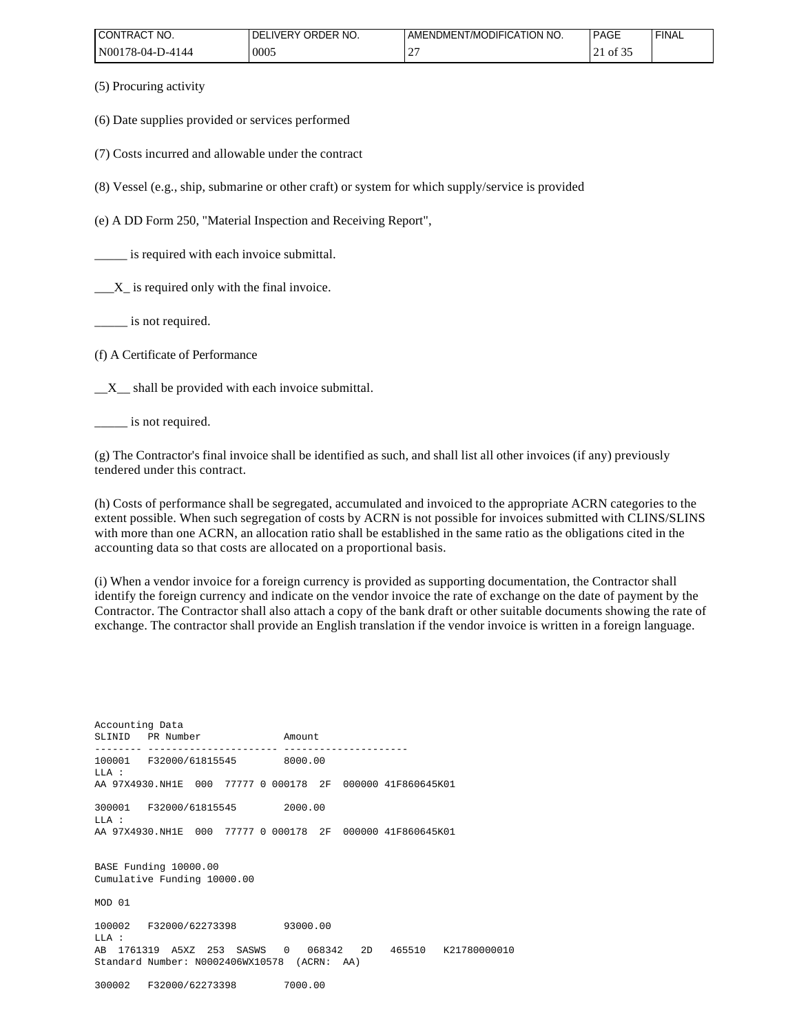| $\sim$<br>NO.<br>'CONTRACT            | ORDER NO.<br>IVERY.<br>DF | <b>MODIFICA</b><br>ATION NO.<br>ENDMENT<br>AME | PAGE    | 'FINAL |
|---------------------------------------|---------------------------|------------------------------------------------|---------|--------|
| N00178<br>7-4144<br>$\Omega$<br>0-۱ / | 0005                      | <b>__</b>                                      | ΟĪ<br>- |        |

(5) Procuring activity

(6) Date supplies provided or services performed

(7) Costs incurred and allowable under the contract

(8) Vessel (e.g., ship, submarine or other craft) or system for which supply/service is provided

(e) A DD Form 250, "Material Inspection and Receiving Report",

is required with each invoice submittal.

 $X_{\text{in}}$  is required only with the final invoice.

\_\_\_\_\_ is not required.

(f) A Certificate of Performance

 $X_{\text{max}}$  shall be provided with each invoice submittal.

\_\_\_\_\_ is not required.

(g) The Contractor's final invoice shall be identified as such, and shall list all other invoices (if any) previously tendered under this contract.

(h) Costs of performance shall be segregated, accumulated and invoiced to the appropriate ACRN categories to the extent possible. When such segregation of costs by ACRN is not possible for invoices submitted with CLINS/SLINS with more than one ACRN, an allocation ratio shall be established in the same ratio as the obligations cited in the accounting data so that costs are allocated on a proportional basis.

(i) When a vendor invoice for a foreign currency is provided as supporting documentation, the Contractor shall identify the foreign currency and indicate on the vendor invoice the rate of exchange on the date of payment by the Contractor. The Contractor shall also attach a copy of the bank draft or other suitable documents showing the rate of exchange. The contractor shall provide an English translation if the vendor invoice is written in a foreign language.

Accounting Data SLINID PR Number Amount -------- ---------------------- --------------------- 100001 F32000/61815545 8000.00  $T.T.A$  : AA 97X4930.NH1E 000 77777 0 000178 2F 000000 41F860645K01 300001 F32000/61815545 2000.00 LLA : AA 97X4930.NH1E 000 77777 0 000178 2F 000000 41F860645K01 BASE Funding 10000.00 Cumulative Funding 10000.00 MOD 01 100002 F32000/62273398 93000.00  $T.T.A$  : AB 1761319 A5XZ 253 SASWS 0 068342 2D 465510 K21780000010 Standard Number: N0002406WX10578 (ACRN: AA) 300002 F32000/62273398 7000.00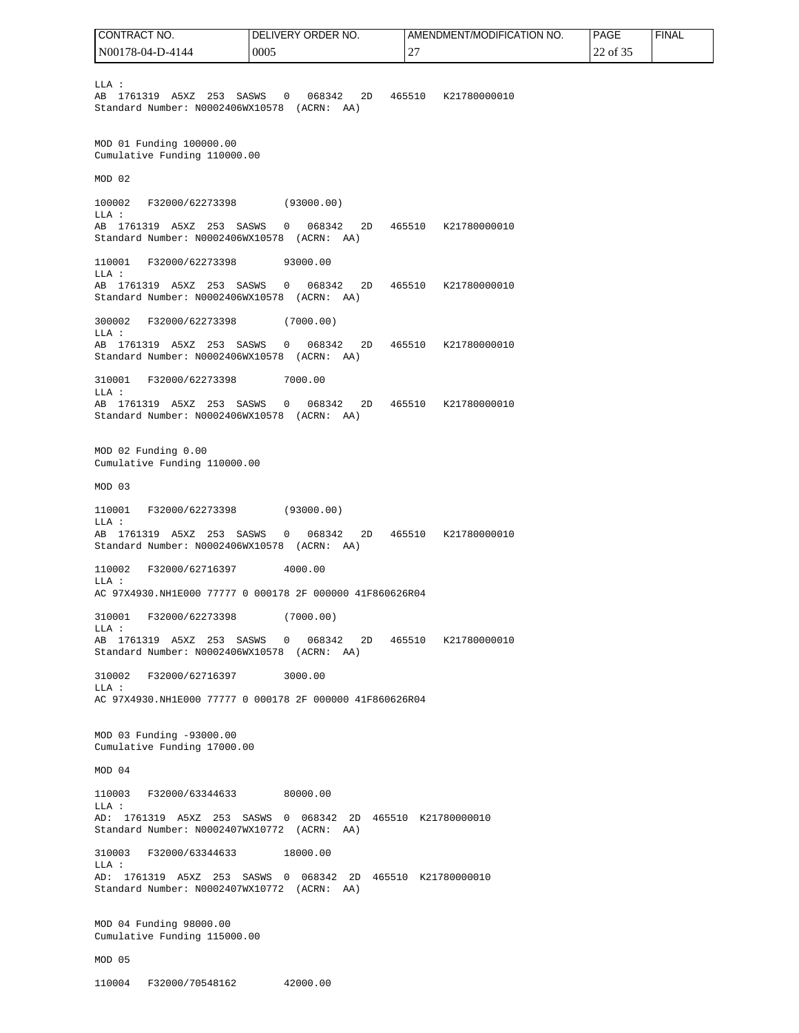LLA : AB 1761319 A5XZ 253 SASWS 0 068342 2D 465510 K21780000010 Standard Number: N0002406WX10578 (ACRN: AA) MOD 01 Funding 100000.00 Cumulative Funding 110000.00 MOD 02 100002 F32000/62273398 (93000.00) LLA : AB 1761319 A5XZ 253 SASWS 0 068342 2D 465510 K21780000010 Standard Number: N0002406WX10578 (ACRN: AA) 110001 F32000/62273398 93000.00 LLA : AB 1761319 A5XZ 253 SASWS 0 068342 2D 465510 K21780000010 Standard Number: N0002406WX10578 (ACRN: AA) 300002 F32000/62273398 (7000.00) LLA : AB 1761319 A5XZ 253 SASWS 0 068342 2D 465510 K21780000010 Standard Number: N0002406WX10578 (ACRN: AA) 310001 F32000/62273398 7000.00 LLA : AB 1761319 A5XZ 253 SASWS 0 068342 2D 465510 K21780000010 Standard Number: N0002406WX10578 (ACRN: AA) MOD 02 Funding 0.00 Cumulative Funding 110000.00 MOD 03 110001 F32000/62273398 (93000.00) LLA : AB 1761319 A5XZ 253 SASWS 0 068342 2D 465510 K21780000010 Standard Number: N0002406WX10578 (ACRN: AA) 110002 F32000/62716397 4000.00 LLA : AC 97X4930.NH1E000 77777 0 000178 2F 000000 41F860626R04 310001 F32000/62273398 (7000.00) LLA : AB 1761319 A5XZ 253 SASWS 0 068342 2D 465510 K21780000010 Standard Number: N0002406WX10578 (ACRN: AA) 310002 F32000/62716397 3000.00  $T.T.A$  : AC 97X4930.NH1E000 77777 0 000178 2F 000000 41F860626R04 MOD 03 Funding -93000.00 Cumulative Funding 17000.00 MOD 04 110003 F32000/63344633 80000.00 LLA : AD: 1761319 A5XZ 253 SASWS 0 068342 2D 465510 K21780000010 Standard Number: N0002407WX10772 (ACRN: AA) 310003 F32000/63344633 18000.00 LLA : AD: 1761319 A5XZ 253 SASWS 0 068342 2D 465510 K21780000010 Standard Number: N0002407WX10772 (ACRN: AA) MOD 04 Funding 98000.00 Cumulative Funding 115000.00 MOD 05 110004 F32000/70548162 42000.00 CONTRACT NO. N00178-04-D-4144 DELIVERY ORDER NO. 0005 AMENDMENT/MODIFICATION NO. 27 PAGE 22 of 35 FINAL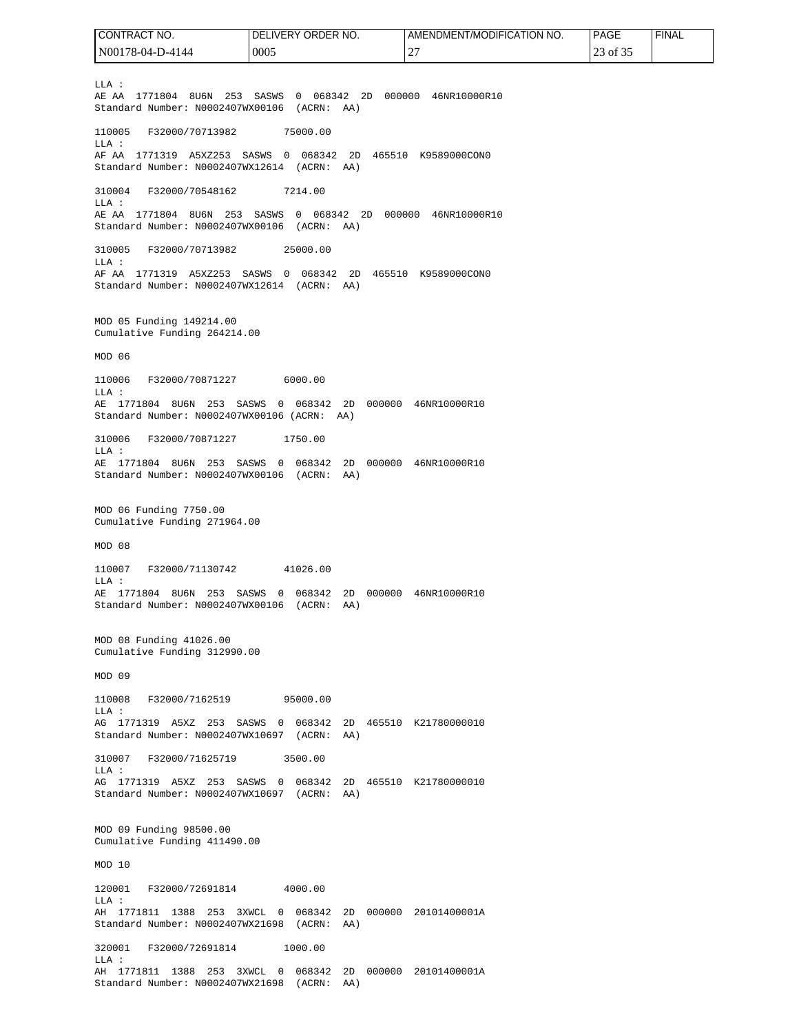$T.T.A$  : AE AA 1771804 8U6N 253 SASWS 0 068342 2D 000000 46NR10000R10 Standard Number: N0002407WX00106 (ACRN: AA) 110005 F32000/70713982 75000.00 LLA : AF AA 1771319 A5XZ253 SASWS 0 068342 2D 465510 K9589000CON0 Standard Number: N0002407WX12614 (ACRN: AA) 310004 F32000/70548162 7214.00 LLA : AE AA 1771804 8U6N 253 SASWS 0 068342 2D 000000 46NR10000R10 Standard Number: N0002407WX00106 (ACRN: AA) 310005 F32000/70713982 25000.00 LLA : AF AA 1771319 A5XZ253 SASWS 0 068342 2D 465510 K9589000CON0 Standard Number: N0002407WX12614 (ACRN: AA) MOD 05 Funding 149214.00 Cumulative Funding 264214.00 MOD 06 110006 F32000/70871227 6000.00 LLA : AE 1771804 8U6N 253 SASWS 0 068342 2D 000000 46NR10000R10 Standard Number: N0002407WX00106 (ACRN: AA) 310006 F32000/70871227 1750.00 LLA : AE 1771804 8U6N 253 SASWS 0 068342 2D 000000 46NR10000R10 Standard Number: N0002407WX00106 (ACRN: AA) MOD 06 Funding 7750.00 Cumulative Funding 271964.00 MOD 08 110007 F32000/71130742 41026.00 LLA : AE 1771804 8U6N 253 SASWS 0 068342 2D 000000 46NR10000R10 Standard Number: N0002407WX00106 (ACRN: AA) MOD 08 Funding 41026.00 Cumulative Funding 312990.00 MOD 09 110008 F32000/7162519 95000.00 LLA : AG 1771319 A5XZ 253 SASWS 0 068342 2D 465510 K21780000010 Standard Number: N0002407WX10697 (ACRN: AA) 310007 F32000/71625719 3500.00 LLA : AG 1771319 A5XZ 253 SASWS 0 068342 2D 465510 K21780000010 Standard Number: N0002407WX10697 (ACRN: AA) MOD 09 Funding 98500.00 Cumulative Funding 411490.00 MOD 10 120001 F32000/72691814 4000.00 LLA : AH 1771811 1388 253 3XWCL 0 068342 2D 000000 20101400001A Standard Number: N0002407WX21698 (ACRN: AA) 320001 F32000/72691814 1000.00 LLA : AH 1771811 1388 253 3XWCL 0 068342 2D 000000 20101400001A Standard Number: N0002407WX21698 (ACRN: AA) CONTRACT NO. N00178-04-D-4144 DELIVERY ORDER NO. 0005 AMENDMENT/MODIFICATION NO. 27 PAGE 23 of 35 FINAL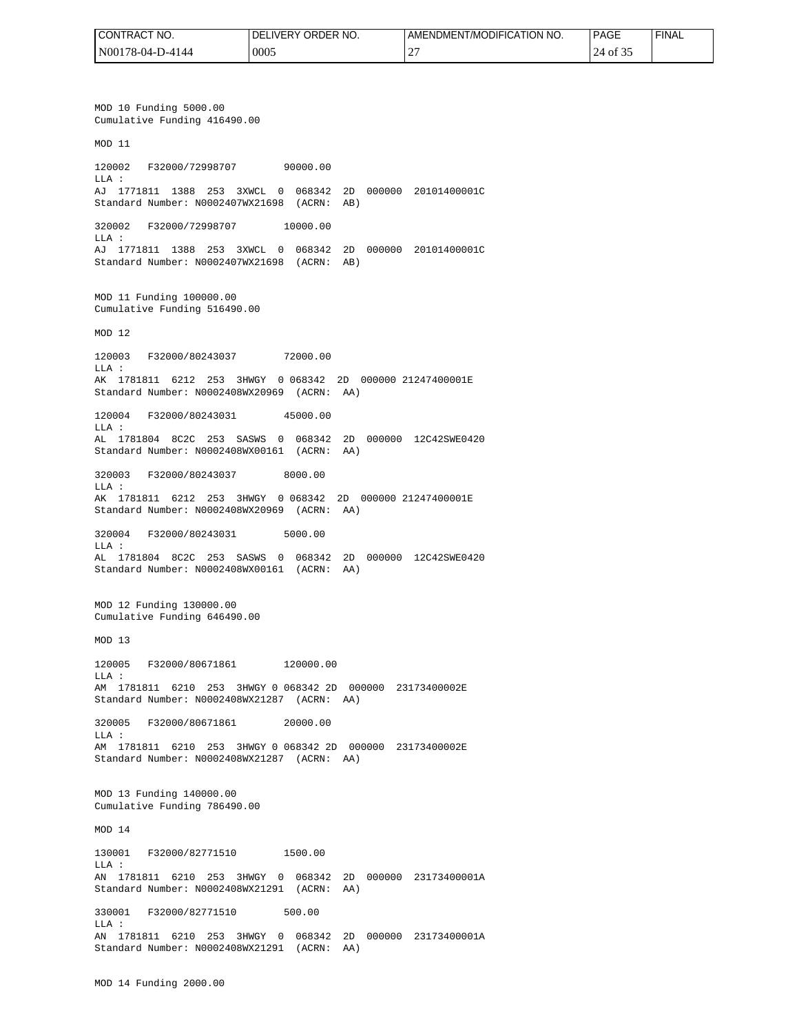| I CONTRACT NO.   | <b>I DELIVERY ORDER NO.</b> | I AMENDMENT/MODIFICATION NO. | <b>PAGE</b>                         | <b>FINAL</b> |
|------------------|-----------------------------|------------------------------|-------------------------------------|--------------|
| N00178-04-D-4144 | 0005                        | $\mathbf{r}$<br><b>__</b>    | $\sim$ $\sim$ $\sim$<br>24<br>of 3. |              |

MOD 10 Funding 5000.00 Cumulative Funding 416490.00 MOD 11 120002 F32000/72998707 90000.00 LLA : AJ 1771811 1388 253 3XWCL 0 068342 2D 000000 20101400001C Standard Number: N0002407WX21698 (ACRN: AB) 320002 F32000/72998707 10000.00 LLA : AJ 1771811 1388 253 3XWCL 0 068342 2D 000000 20101400001C Standard Number: N0002407WX21698 (ACRN: AB) MOD 11 Funding 100000.00 Cumulative Funding 516490.00 MOD 12 120003 F32000/80243037 72000.00 LLA : AK 1781811 6212 253 3HWGY 0 068342 2D 000000 21247400001E Standard Number: N0002408WX20969 (ACRN: AA) 120004 F32000/80243031 45000.00 LLA : AL 1781804 8C2C 253 SASWS 0 068342 2D 000000 12C42SWE0420 Standard Number: N0002408WX00161 (ACRN: AA) 320003 F32000/80243037 8000.00  $T.T.A$  : AK 1781811 6212 253 3HWGY 0 068342 2D 000000 21247400001E Standard Number: N0002408WX20969 (ACRN: AA) 320004 F32000/80243031 5000.00 LLA : AL 1781804 8C2C 253 SASWS 0 068342 2D 000000 12C42SWE0420 Standard Number: N0002408WX00161 (ACRN: AA) MOD 12 Funding 130000.00 Cumulative Funding 646490.00 MOD 13 120005 F32000/80671861 120000.00 LLA : AM 1781811 6210 253 3HWGY 0 068342 2D 000000 23173400002E Standard Number: N0002408WX21287 (ACRN: AA) 320005 F32000/80671861 20000.00 LLA : AM 1781811 6210 253 3HWGY 0 068342 2D 000000 23173400002E Standard Number: N0002408WX21287 (ACRN: AA) MOD 13 Funding 140000.00 Cumulative Funding 786490.00 MOD 14 130001 F32000/82771510 1500.00 LLA : AN 1781811 6210 253 3HWGY 0 068342 2D 000000 23173400001A Standard Number: N0002408WX21291 (ACRN: AA) 330001 F32000/82771510 500.00  $T.T.A$  : AN 1781811 6210 253 3HWGY 0 068342 2D 000000 23173400001A Standard Number: N0002408WX21291 (ACRN: AA)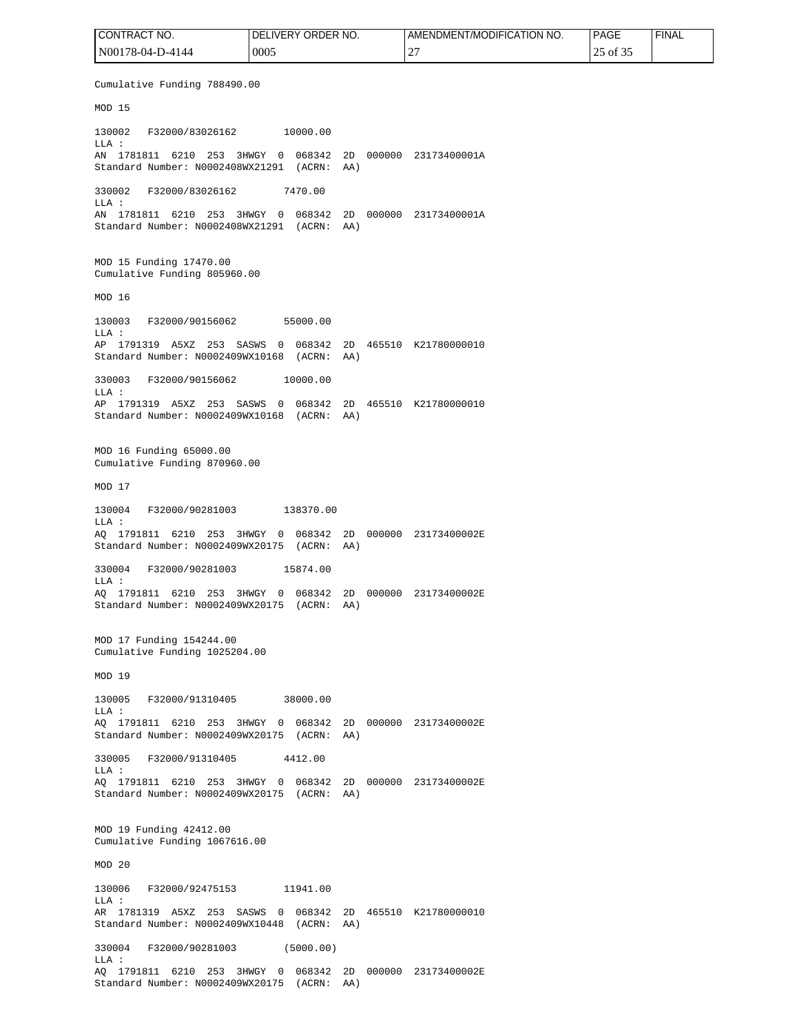Cumulative Funding 788490.00 MOD 15 130002 F32000/83026162 10000.00 LLA : AN 1781811 6210 253 3HWGY 0 068342 2D 000000 23173400001A Standard Number: N0002408WX21291 (ACRN: AA) 330002 F32000/83026162 7470.00 LLA : AN 1781811 6210 253 3HWGY 0 068342 2D 000000 23173400001A Standard Number: N0002408WX21291 (ACRN: AA) MOD 15 Funding 17470.00 Cumulative Funding 805960.00 MOD 16 130003 F32000/90156062 55000.00 LLA : AP 1791319 A5XZ 253 SASWS 0 068342 2D 465510 K21780000010 Standard Number: N0002409WX10168 (ACRN: AA) 330003 F32000/90156062 10000.00 LLA : AP 1791319 A5XZ 253 SASWS 0 068342 2D 465510 K21780000010 Standard Number: N0002409WX10168 (ACRN: AA) MOD 16 Funding 65000.00 Cumulative Funding 870960.00 MOD 17 130004 F32000/90281003 138370.00 LLA : AQ 1791811 6210 253 3HWGY 0 068342 2D 000000 23173400002E Standard Number: N0002409WX20175 (ACRN: AA) 330004 F32000/90281003 15874.00 LLA : AQ 1791811 6210 253 3HWGY 0 068342 2D 000000 23173400002E Standard Number: N0002409WX20175 (ACRN: AA) MOD 17 Funding 154244.00 Cumulative Funding 1025204.00 MOD 19 130005 F32000/91310405 38000.00 LLA : AQ 1791811 6210 253 3HWGY 0 068342 2D 000000 23173400002E Standard Number: N0002409WX20175 (ACRN: AA) 330005 F32000/91310405 4412.00 LLA : AQ 1791811 6210 253 3HWGY 0 068342 2D 000000 23173400002E Standard Number: N0002409WX20175 (ACRN: AA) MOD 19 Funding 42412.00 Cumulative Funding 1067616.00 MOD 20 130006 F32000/92475153 11941.00 LLA : AR 1781319 A5XZ 253 SASWS 0 068342 2D 465510 K21780000010 Standard Number: N0002409WX10448 (ACRN: AA) 330004 F32000/90281003 (5000.00) LLA : AQ 1791811 6210 253 3HWGY 0 068342 2D 000000 23173400002E Standard Number: N0002409WX20175 (ACRN: AA) CONTRACT NO. N00178-04-D-4144 DELIVERY ORDER NO. 0005 AMENDMENT/MODIFICATION NO. 27 PAGE 25 of 35 FINAL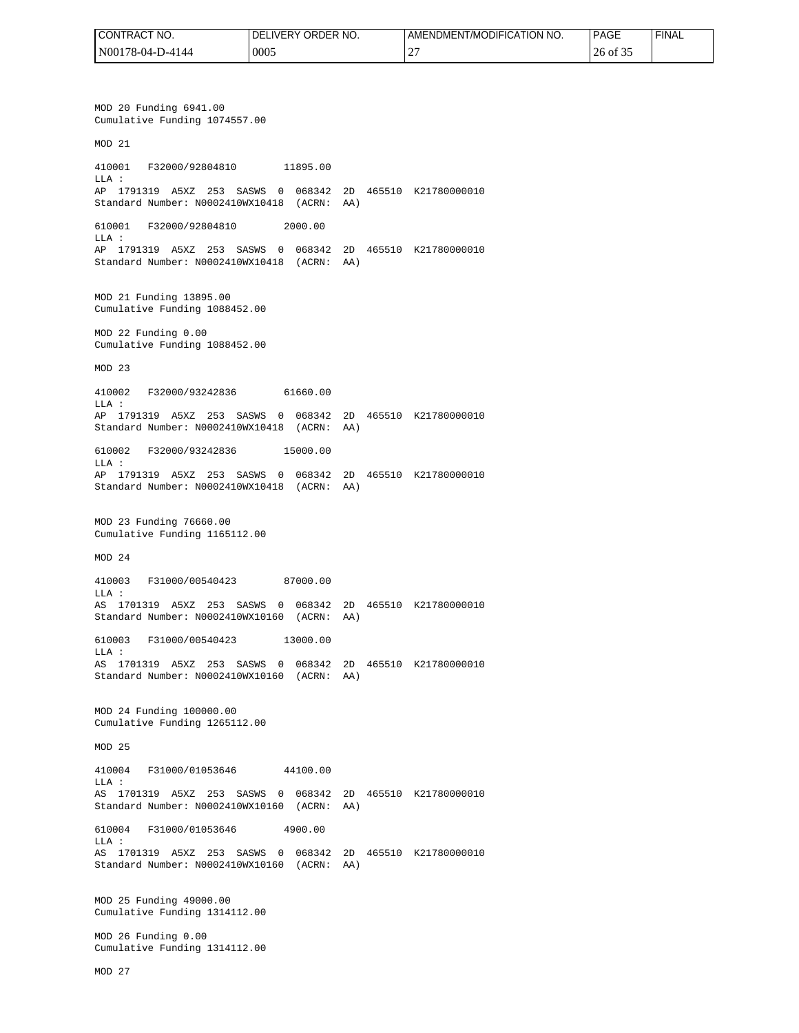| I CONTRACT NO.   | I DELIVERY ORDER NO. | I AMENDMENT/MODIFICATION NO. | <b>PAGE</b>                      | <b>FINAL</b> |
|------------------|----------------------|------------------------------|----------------------------------|--------------|
| N00178-04-D-4144 | 0005                 | $\mathbf{r}$<br><b>__</b>    | $\sim$ $\sim$ $\sim$<br>26 of 35 |              |

MOD 20 Funding 6941.00 Cumulative Funding 1074557.00 MOD 21 410001 F32000/92804810 11895.00 LLA : AP 1791319 A5XZ 253 SASWS 0 068342 2D 465510 K21780000010 Standard Number: N0002410WX10418 (ACRN: AA) 610001 F32000/92804810 2000.00 LLA : AP 1791319 A5XZ 253 SASWS 0 068342 2D 465510 K21780000010 Standard Number: N0002410WX10418 (ACRN: AA) MOD 21 Funding 13895.00 Cumulative Funding 1088452.00 MOD 22 Funding 0.00 Cumulative Funding 1088452.00 MOD 23 410002 F32000/93242836 61660.00 LLA : AP 1791319 A5XZ 253 SASWS 0 068342 2D 465510 K21780000010 Standard Number: N0002410WX10418 (ACRN: AA) 610002 F32000/93242836 15000.00 LLA : AP 1791319 A5XZ 253 SASWS 0 068342 2D 465510 K21780000010 Standard Number: N0002410WX10418 (ACRN: AA) MOD 23 Funding 76660.00 Cumulative Funding 1165112.00  $MOD 24$ 410003 F31000/00540423 87000.00 LLA : AS 1701319 A5XZ 253 SASWS 0 068342 2D 465510 K21780000010 Standard Number: N0002410WX10160 (ACRN: AA) 610003 F31000/00540423 13000.00  $T.T.A$  : AS 1701319 A5XZ 253 SASWS 0 068342 2D 465510 K21780000010 Standard Number: N0002410WX10160 (ACRN: AA) MOD 24 Funding 100000.00 Cumulative Funding 1265112.00 MOD 25 410004 F31000/01053646 44100.00 LLA : AS 1701319 A5XZ 253 SASWS 0 068342 2D 465510 K21780000010 Standard Number: N0002410WX10160 (ACRN: AA) 610004 F31000/01053646 4900.00 LLA : AS 1701319 A5XZ 253 SASWS 0 068342 2D 465510 K21780000010 Standard Number: N0002410WX10160 (ACRN: AA) MOD 25 Funding 49000.00 Cumulative Funding 1314112.00 MOD 26 Funding 0.00 Cumulative Funding 1314112.00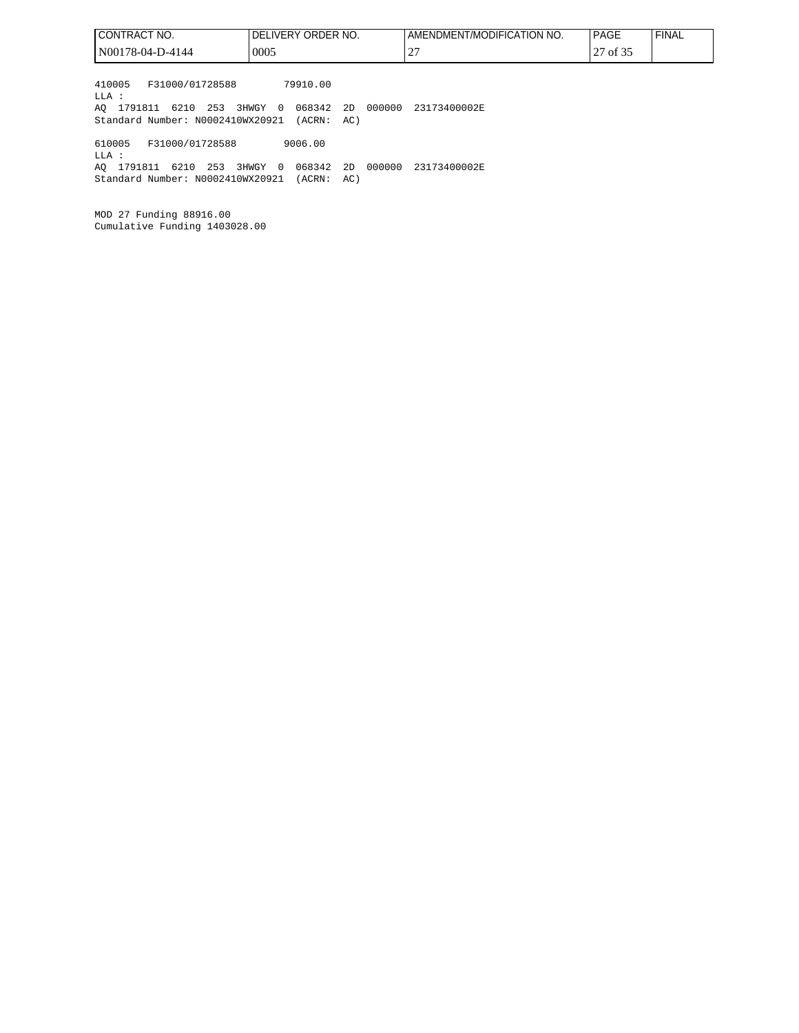| I CONTRACT NO.                                                                                   | DELIVERY ORDER NO.                                                             | AMENDMENT/MODIFICATION NO. | <b>PAGE</b><br><b>FINAL</b> |
|--------------------------------------------------------------------------------------------------|--------------------------------------------------------------------------------|----------------------------|-----------------------------|
| N00178-04-D-4144                                                                                 | 0005                                                                           | 27                         | 27 of 35                    |
| F31000/01728588<br>410005<br>LLA :<br>AO 1791811 6210 253<br>Standard Number: N0002410WX20921    | 79910.00<br>068342<br>000000<br>3HWGY<br>2D<br>$\overline{0}$<br>(ACRN:<br>AC) | 23173400002E               |                             |
| F31000/01728588<br>610005<br>LLA :<br>AO 1791811<br>6210 253<br>Standard Number: N0002410WX20921 | 9006.00<br>068342<br>000000<br>3HWGY<br>2D<br>$\overline{0}$<br>(ACRN:<br>AC)  | 23173400002E               |                             |

MOD 27 Funding 88916.00 Cumulative Funding 1403028.00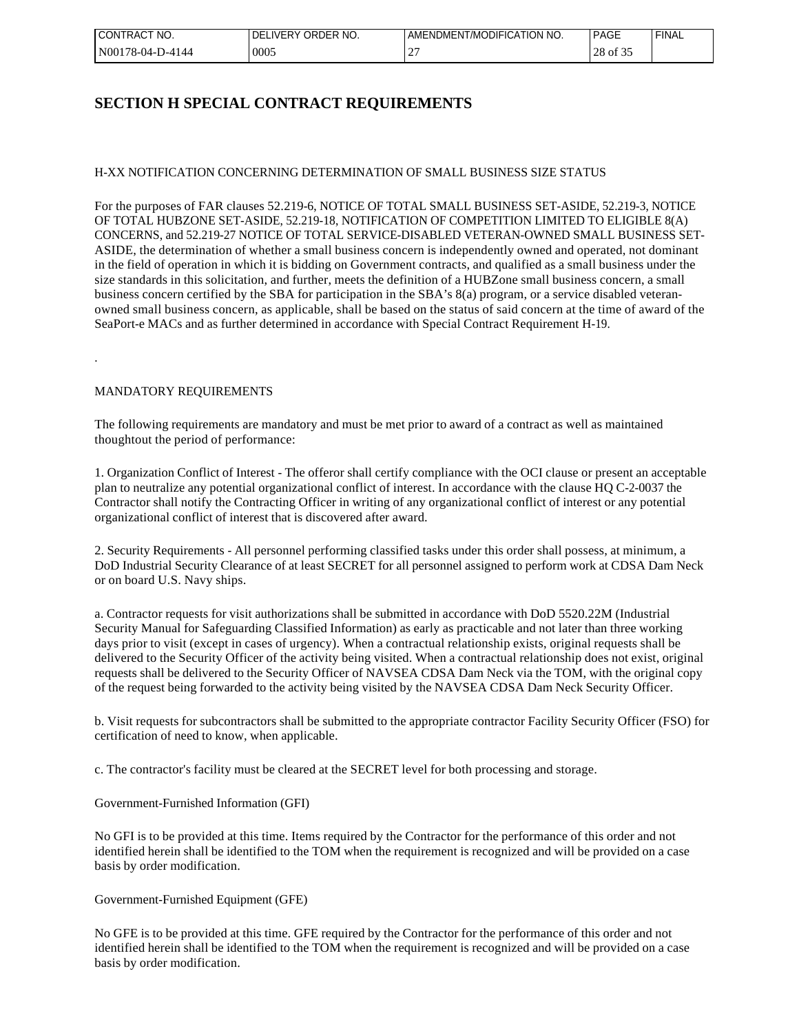| I CONTRACT<br>NO. | ORDER NO.<br><b>IVERY</b><br>DFI | MENDMENT/MODIFICATION NO. | <b>PAGE</b> | <b>FINAL</b> |
|-------------------|----------------------------------|---------------------------|-------------|--------------|
| N00178-04-D-4144  | 0005                             | -                         | 28 of 35    |              |

## **SECTION H SPECIAL CONTRACT REQUIREMENTS**

### H-XX NOTIFICATION CONCERNING DETERMINATION OF SMALL BUSINESS SIZE STATUS

For the purposes of FAR clauses 52.219-6, NOTICE OF TOTAL SMALL BUSINESS SET-ASIDE, 52.219-3, NOTICE OF TOTAL HUBZONE SET-ASIDE, 52.219-18, NOTIFICATION OF COMPETITION LIMITED TO ELIGIBLE 8(A) CONCERNS, and 52.219-27 NOTICE OF TOTAL SERVICE-DISABLED VETERAN-OWNED SMALL BUSINESS SET-ASIDE, the determination of whether a small business concern is independently owned and operated, not dominant in the field of operation in which it is bidding on Government contracts, and qualified as a small business under the size standards in this solicitation, and further, meets the definition of a HUBZone small business concern, a small business concern certified by the SBA for participation in the SBA's 8(a) program, or a service disabled veteranowned small business concern, as applicable, shall be based on the status of said concern at the time of award of the SeaPort-e MACs and as further determined in accordance with Special Contract Requirement H-19.

### MANDATORY REQUIREMENTS

.

The following requirements are mandatory and must be met prior to award of a contract as well as maintained thoughtout the period of performance:

1. Organization Conflict of Interest - The offeror shall certify compliance with the OCI clause or present an acceptable plan to neutralize any potential organizational conflict of interest. In accordance with the clause HQ C-2-0037 the Contractor shall notify the Contracting Officer in writing of any organizational conflict of interest or any potential organizational conflict of interest that is discovered after award.

2. Security Requirements - All personnel performing classified tasks under this order shall possess, at minimum, a DoD Industrial Security Clearance of at least SECRET for all personnel assigned to perform work at CDSA Dam Neck or on board U.S. Navy ships.

a. Contractor requests for visit authorizations shall be submitted in accordance with DoD 5520.22M (Industrial Security Manual for Safeguarding Classified Information) as early as practicable and not later than three working days prior to visit (except in cases of urgency). When a contractual relationship exists, original requests shall be delivered to the Security Officer of the activity being visited. When a contractual relationship does not exist, original requests shall be delivered to the Security Officer of NAVSEA CDSA Dam Neck via the TOM, with the original copy of the request being forwarded to the activity being visited by the NAVSEA CDSA Dam Neck Security Officer.

b. Visit requests for subcontractors shall be submitted to the appropriate contractor Facility Security Officer (FSO) for certification of need to know, when applicable.

c. The contractor's facility must be cleared at the SECRET level for both processing and storage.

#### Government-Furnished Information (GFI)

No GFI is to be provided at this time. Items required by the Contractor for the performance of this order and not identified herein shall be identified to the TOM when the requirement is recognized and will be provided on a case basis by order modification.

#### Government-Furnished Equipment (GFE)

No GFE is to be provided at this time. GFE required by the Contractor for the performance of this order and not identified herein shall be identified to the TOM when the requirement is recognized and will be provided on a case basis by order modification.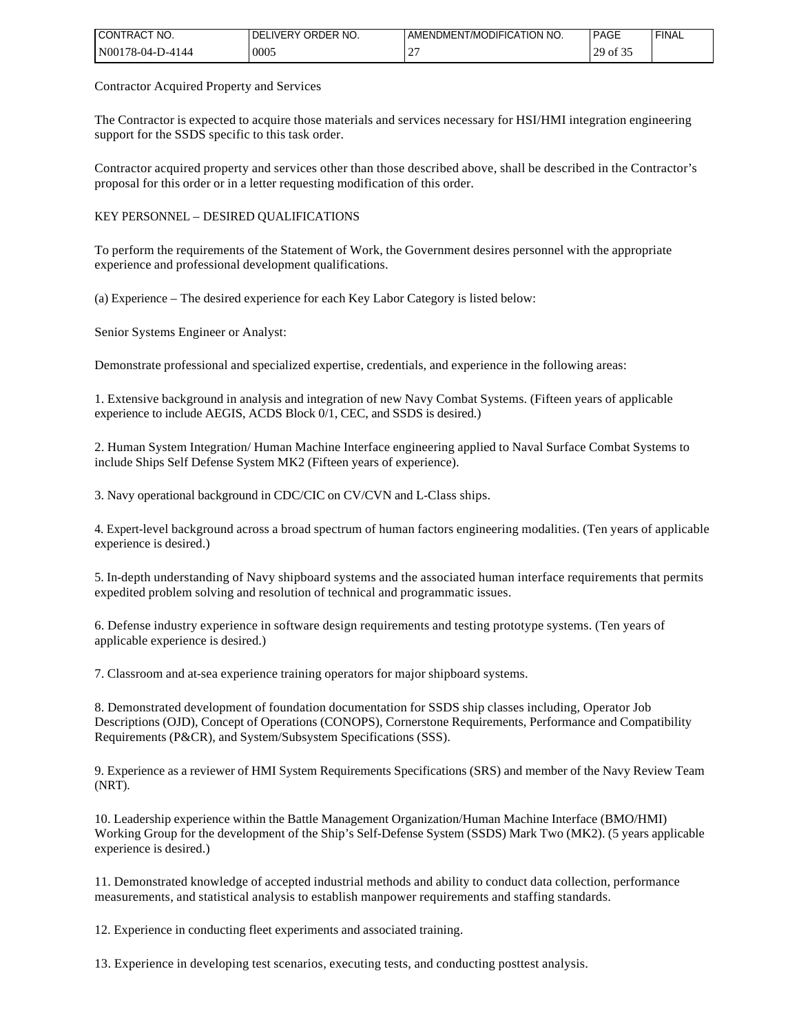| NO.<br><b>I CONTRACT</b> | <b>IVERY</b><br>ORDER NO.<br>DEI | T/MODIFICATION NO.<br>JOMENT <sup>*</sup><br>: AMENI | <b>PAGE</b>                                       | 'FINAL |
|--------------------------|----------------------------------|------------------------------------------------------|---------------------------------------------------|--------|
| N001<br>*78-04-D-4144    | 0005                             | $\sim$<br><b>__</b>                                  | $\sim$ $\sim$ $\sim$<br>ാവ<br>$0.901$ $\sim$<br>∼ |        |

Contractor Acquired Property and Services

The Contractor is expected to acquire those materials and services necessary for HSI/HMI integration engineering support for the SSDS specific to this task order.

Contractor acquired property and services other than those described above, shall be described in the Contractor's proposal for this order or in a letter requesting modification of this order.

KEY PERSONNEL – DESIRED QUALIFICATIONS

To perform the requirements of the Statement of Work, the Government desires personnel with the appropriate experience and professional development qualifications.

(a) Experience – The desired experience for each Key Labor Category is listed below:

Senior Systems Engineer or Analyst:

Demonstrate professional and specialized expertise, credentials, and experience in the following areas:

1. Extensive background in analysis and integration of new Navy Combat Systems. (Fifteen years of applicable experience to include AEGIS, ACDS Block 0/1, CEC, and SSDS is desired.)

2. Human System Integration/ Human Machine Interface engineering applied to Naval Surface Combat Systems to include Ships Self Defense System MK2 (Fifteen years of experience).

3. Navy operational background in CDC/CIC on CV/CVN and L-Class ships.

4. Expert-level background across a broad spectrum of human factors engineering modalities. (Ten years of applicable experience is desired.)

5. In-depth understanding of Navy shipboard systems and the associated human interface requirements that permits expedited problem solving and resolution of technical and programmatic issues.

6. Defense industry experience in software design requirements and testing prototype systems. (Ten years of applicable experience is desired.)

7. Classroom and at-sea experience training operators for major shipboard systems.

8. Demonstrated development of foundation documentation for SSDS ship classes including, Operator Job Descriptions (OJD), Concept of Operations (CONOPS), Cornerstone Requirements, Performance and Compatibility Requirements (P&CR), and System/Subsystem Specifications (SSS).

9. Experience as a reviewer of HMI System Requirements Specifications (SRS) and member of the Navy Review Team (NRT).

10. Leadership experience within the Battle Management Organization/Human Machine Interface (BMO/HMI) Working Group for the development of the Ship's Self-Defense System (SSDS) Mark Two (MK2). (5 years applicable experience is desired.)

11. Demonstrated knowledge of accepted industrial methods and ability to conduct data collection, performance measurements, and statistical analysis to establish manpower requirements and staffing standards.

12. Experience in conducting fleet experiments and associated training.

13. Experience in developing test scenarios, executing tests, and conducting posttest analysis.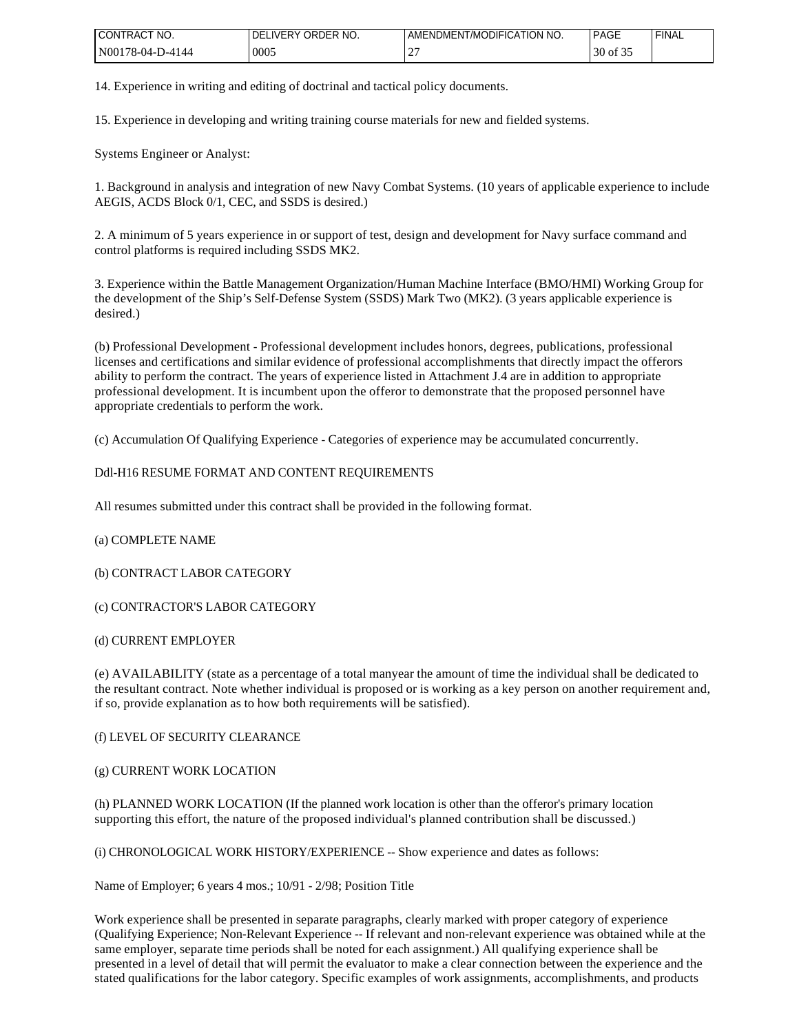| 'NO.<br><b>I CONTRACT</b> | <b>IVERY</b><br>ORDER NO.<br>DEI | <b>AMENDMENT/MODIFICATION NO.</b> | <b>PAGE</b>          | <b>FINAL</b> |
|---------------------------|----------------------------------|-----------------------------------|----------------------|--------------|
| $'N00178-04-D-4144$       | 0005                             | $\sim$<br><b>__</b>               | $\Omega$<br>30 of 35 |              |

14. Experience in writing and editing of doctrinal and tactical policy documents.

15. Experience in developing and writing training course materials for new and fielded systems.

Systems Engineer or Analyst:

1. Background in analysis and integration of new Navy Combat Systems. (10 years of applicable experience to include AEGIS, ACDS Block 0/1, CEC, and SSDS is desired.)

2. A minimum of 5 years experience in or support of test, design and development for Navy surface command and control platforms is required including SSDS MK2.

3. Experience within the Battle Management Organization/Human Machine Interface (BMO/HMI) Working Group for the development of the Ship's Self-Defense System (SSDS) Mark Two (MK2). (3 years applicable experience is desired.)

(b) Professional Development - Professional development includes honors, degrees, publications, professional licenses and certifications and similar evidence of professional accomplishments that directly impact the offerors ability to perform the contract. The years of experience listed in Attachment J.4 are in addition to appropriate professional development. It is incumbent upon the offeror to demonstrate that the proposed personnel have appropriate credentials to perform the work.

(c) Accumulation Of Qualifying Experience - Categories of experience may be accumulated concurrently.

### Ddl-H16 RESUME FORMAT AND CONTENT REQUIREMENTS

All resumes submitted under this contract shall be provided in the following format.

### (a) COMPLETE NAME

(b) CONTRACT LABOR CATEGORY

(c) CONTRACTOR'S LABOR CATEGORY

(d) CURRENT EMPLOYER

(e) AVAILABILITY (state as a percentage of a total manyear the amount of time the individual shall be dedicated to the resultant contract. Note whether individual is proposed or is working as a key person on another requirement and, if so, provide explanation as to how both requirements will be satisfied).

(f) LEVEL OF SECURITY CLEARANCE

(g) CURRENT WORK LOCATION

(h) PLANNED WORK LOCATION (If the planned work location is other than the offeror's primary location supporting this effort, the nature of the proposed individual's planned contribution shall be discussed.)

(i) CHRONOLOGICAL WORK HISTORY/EXPERIENCE -- Show experience and dates as follows:

Name of Employer; 6 years 4 mos.; 10/91 - 2/98; Position Title

Work experience shall be presented in separate paragraphs, clearly marked with proper category of experience (Qualifying Experience; Non-Relevant Experience -- If relevant and non-relevant experience was obtained while at the same employer, separate time periods shall be noted for each assignment.) All qualifying experience shall be presented in a level of detail that will permit the evaluator to make a clear connection between the experience and the stated qualifications for the labor category. Specific examples of work assignments, accomplishments, and products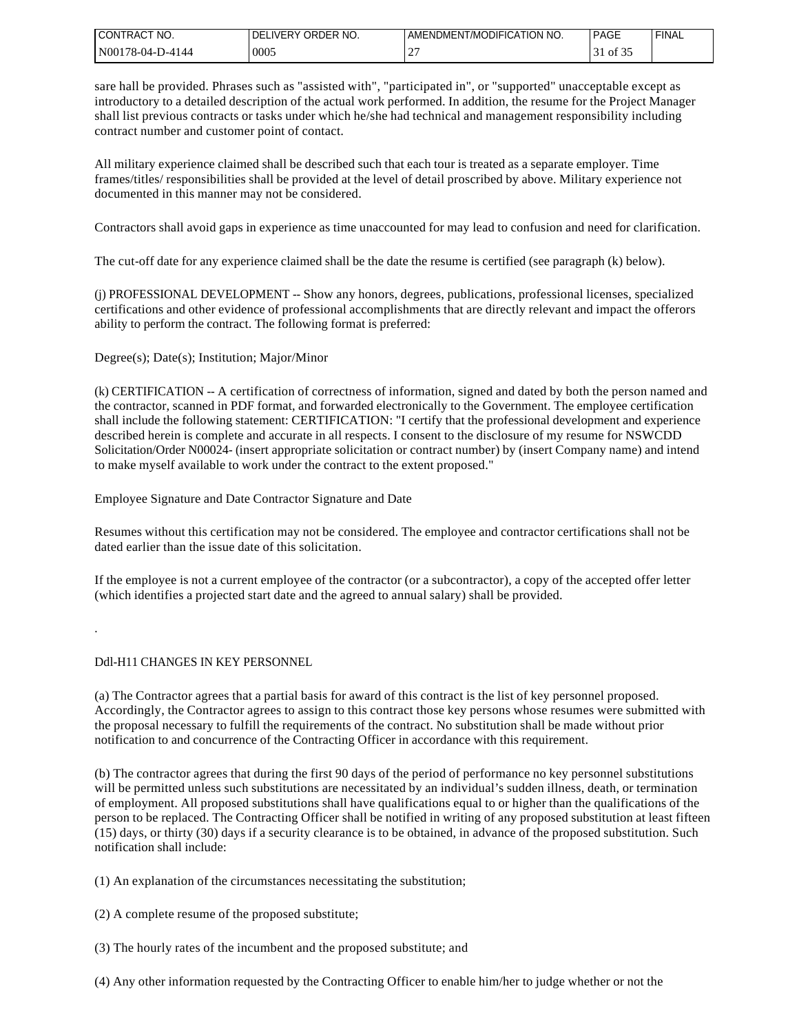| I CONTRACT NO.    | DELIVERY ORDER NO. | AMENDMENT/MODIFICATION NO. | PAGE    | <b>FINAI</b> |
|-------------------|--------------------|----------------------------|---------|--------------|
| IN00178-04-D-4144 | 0005               | $\bigcap$<br>∼             | of $35$ |              |

sare hall be provided. Phrases such as "assisted with", "participated in", or "supported" unacceptable except as introductory to a detailed description of the actual work performed. In addition, the resume for the Project Manager shall list previous contracts or tasks under which he/she had technical and management responsibility including contract number and customer point of contact.

All military experience claimed shall be described such that each tour is treated as a separate employer. Time frames/titles/ responsibilities shall be provided at the level of detail proscribed by above. Military experience not documented in this manner may not be considered.

Contractors shall avoid gaps in experience as time unaccounted for may lead to confusion and need for clarification.

The cut-off date for any experience claimed shall be the date the resume is certified (see paragraph (k) below).

(j) PROFESSIONAL DEVELOPMENT -- Show any honors, degrees, publications, professional licenses, specialized certifications and other evidence of professional accomplishments that are directly relevant and impact the offerors ability to perform the contract. The following format is preferred:

Degree(s); Date(s); Institution; Major/Minor

(k) CERTIFICATION -- A certification of correctness of information, signed and dated by both the person named and the contractor, scanned in PDF format, and forwarded electronically to the Government. The employee certification shall include the following statement: CERTIFICATION: "I certify that the professional development and experience described herein is complete and accurate in all respects. I consent to the disclosure of my resume for NSWCDD Solicitation/Order N00024- (insert appropriate solicitation or contract number) by (insert Company name) and intend to make myself available to work under the contract to the extent proposed."

Employee Signature and Date Contractor Signature and Date

Resumes without this certification may not be considered. The employee and contractor certifications shall not be dated earlier than the issue date of this solicitation.

If the employee is not a current employee of the contractor (or a subcontractor), a copy of the accepted offer letter (which identifies a projected start date and the agreed to annual salary) shall be provided.

.

### Ddl-H11 CHANGES IN KEY PERSONNEL

(a) The Contractor agrees that a partial basis for award of this contract is the list of key personnel proposed. Accordingly, the Contractor agrees to assign to this contract those key persons whose resumes were submitted with the proposal necessary to fulfill the requirements of the contract. No substitution shall be made without prior notification to and concurrence of the Contracting Officer in accordance with this requirement.

(b) The contractor agrees that during the first 90 days of the period of performance no key personnel substitutions will be permitted unless such substitutions are necessitated by an individual's sudden illness, death, or termination of employment. All proposed substitutions shall have qualifications equal to or higher than the qualifications of the person to be replaced. The Contracting Officer shall be notified in writing of any proposed substitution at least fifteen  $(15)$  days, or thirty (30) days if a security clearance is to be obtained, in advance of the proposed substitution. Such notification shall include:

(1) An explanation of the circumstances necessitating the substitution;

(2) A complete resume of the proposed substitute;

- (3) The hourly rates of the incumbent and the proposed substitute; and
- (4) Any other information requested by the Contracting Officer to enable him/her to judge whether or not the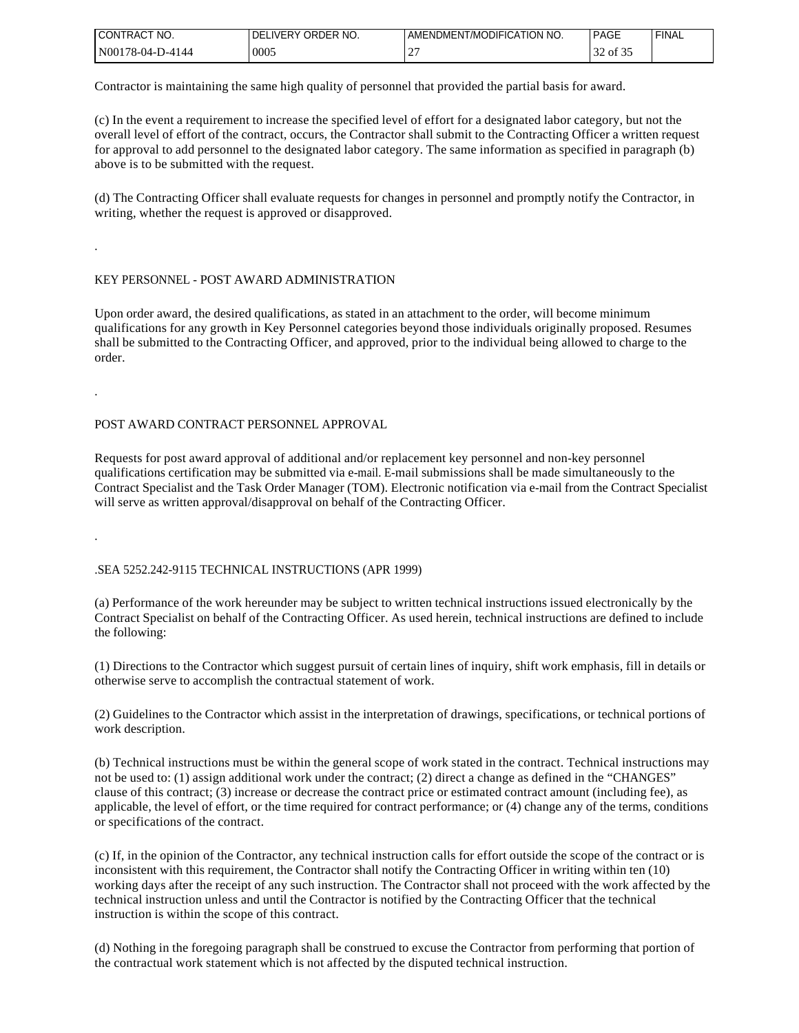| <b>I CONTRACT</b><br>NO. | ORDER<br>IVERY<br>' NO.<br>DFI | T/MODIFICATION NO.<br>AMENDMENT | <b>PAGE</b> | <b>FINA</b> |
|--------------------------|--------------------------------|---------------------------------|-------------|-------------|
| $'N00178-04-D-4144$      | 0005                           | -                               | 0Ī          |             |

Contractor is maintaining the same high quality of personnel that provided the partial basis for award.

(c) In the event a requirement to increase the specified level of effort for a designated labor category, but not the overall level of effort of the contract, occurs, the Contractor shall submit to the Contracting Officer a written request for approval to add personnel to the designated labor category. The same information as specified in paragraph (b) above is to be submitted with the request.

(d) The Contracting Officer shall evaluate requests for changes in personnel and promptly notify the Contractor, in writing, whether the request is approved or disapproved.

### KEY PERSONNEL - POST AWARD ADMINISTRATION

Upon order award, the desired qualifications, as stated in an attachment to the order, will become minimum qualifications for any growth in Key Personnel categories beyond those individuals originally proposed. Resumes shall be submitted to the Contracting Officer, and approved, prior to the individual being allowed to charge to the order.

.

.

#### POST AWARD CONTRACT PERSONNEL APPROVAL

Requests for post award approval of additional and/or replacement key personnel and non-key personnel qualifications certification may be submitted via e-mail. E-mail submissions shall be made simultaneously to the Contract Specialist and the Task Order Manager (TOM). Electronic notification via e-mail from the Contract Specialist will serve as written approval/disapproval on behalf of the Contracting Officer.

.

#### .SEA 5252.242-9115 TECHNICAL INSTRUCTIONS (APR 1999)

(a) Performance of the work hereunder may be subject to written technical instructions issued electronically by the Contract Specialist on behalf of the Contracting Officer. As used herein, technical instructions are defined to include the following:

(1) Directions to the Contractor which suggest pursuit of certain lines of inquiry, shift work emphasis, fill in details or otherwise serve to accomplish the contractual statement of work.

(2) Guidelines to the Contractor which assist in the interpretation of drawings, specifications, or technical portions of work description.

(b) Technical instructions must be within the general scope of work stated in the contract. Technical instructions may not be used to: (1) assign additional work under the contract; (2) direct a change as defined in the "CHANGES" clause of this contract; (3) increase or decrease the contract price or estimated contract amount (including fee), as applicable, the level of effort, or the time required for contract performance; or (4) change any of the terms, conditions or specifications of the contract.

(c) If, in the opinion of the Contractor, any technical instruction calls for effort outside the scope of the contract or is inconsistent with this requirement, the Contractor shall notify the Contracting Officer in writing within ten (10) working days after the receipt of any such instruction. The Contractor shall not proceed with the work affected by the technical instruction unless and until the Contractor is notified by the Contracting Officer that the technical instruction is within the scope of this contract.

(d) Nothing in the foregoing paragraph shall be construed to excuse the Contractor from performing that portion of the contractual work statement which is not affected by the disputed technical instruction.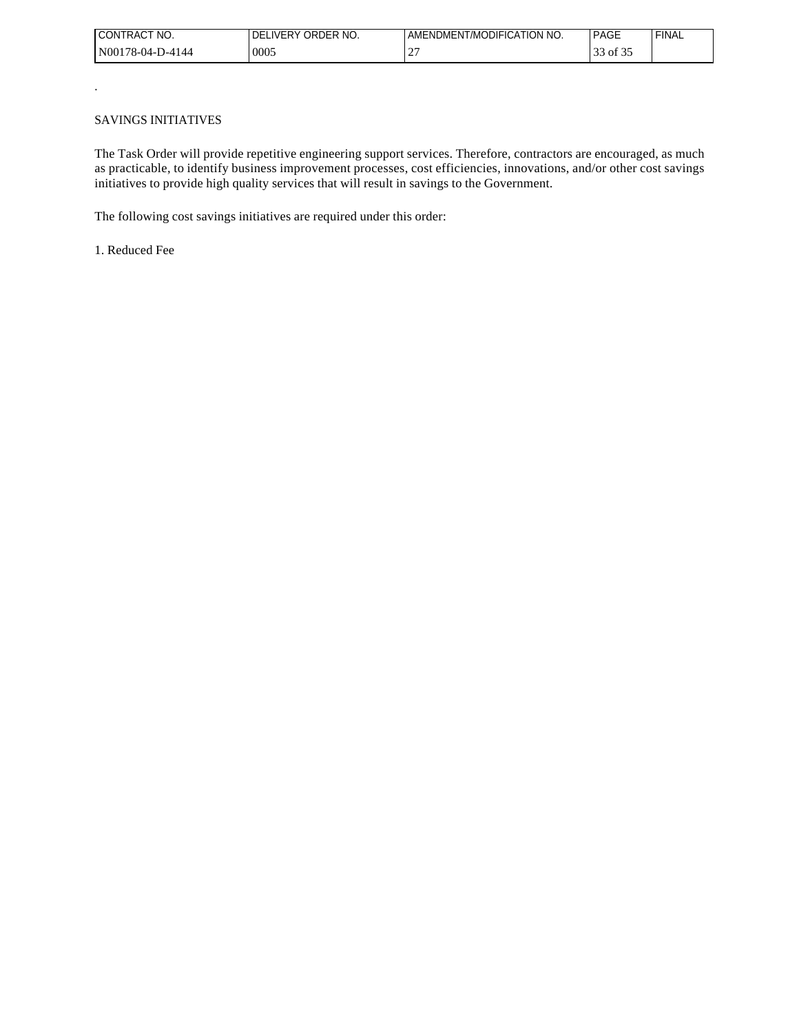| I CONTRACT<br>NO. | ORDER NO.<br>IVERY.<br>DFI | DMENT/MODIFICATION NO.<br>AMENL` | <b>PAGE</b> | <b>FINAL</b> |
|-------------------|----------------------------|----------------------------------|-------------|--------------|
| N00178-04-D-4144  | 0005                       | ∸                                | of 32<br>ັ  |              |

#### SAVINGS INITIATIVES

.

The Task Order will provide repetitive engineering support services. Therefore, contractors are encouraged, as much as practicable, to identify business improvement processes, cost efficiencies, innovations, and/or other cost savings initiatives to provide high quality services that will result in savings to the Government.

The following cost savings initiatives are required under this order:

1. Reduced Fee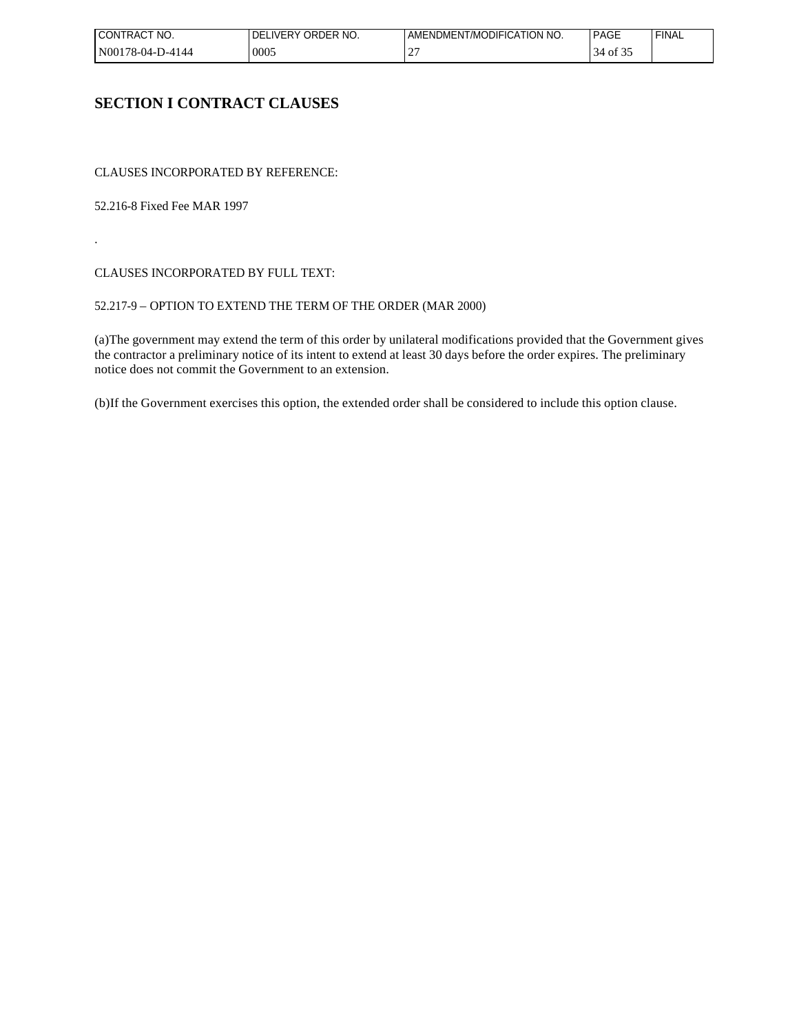| I CONTRACT<br>NO. | ORDER NO.<br>IVERY.<br>DFI | DMENT/MODIFICATION NO.<br>AMENL` | <b>PAGE</b> | <b>FINAL</b> |
|-------------------|----------------------------|----------------------------------|-------------|--------------|
| N00178-04-D-4144  | 0005                       | ∸                                | ΟÌ<br>◡     |              |

## **SECTION I CONTRACT CLAUSES**

CLAUSES INCORPORATED BY REFERENCE:

52.216-8 Fixed Fee MAR 1997

.

CLAUSES INCORPORATED BY FULL TEXT:

### 52.217-9 – OPTION TO EXTEND THE TERM OF THE ORDER (MAR 2000)

(a)The government may extend the term of this order by unilateral modifications provided that the Government gives the contractor a preliminary notice of its intent to extend at least 30 days before the order expires. The preliminary notice does not commit the Government to an extension.

(b)If the Government exercises this option, the extended order shall be considered to include this option clause.